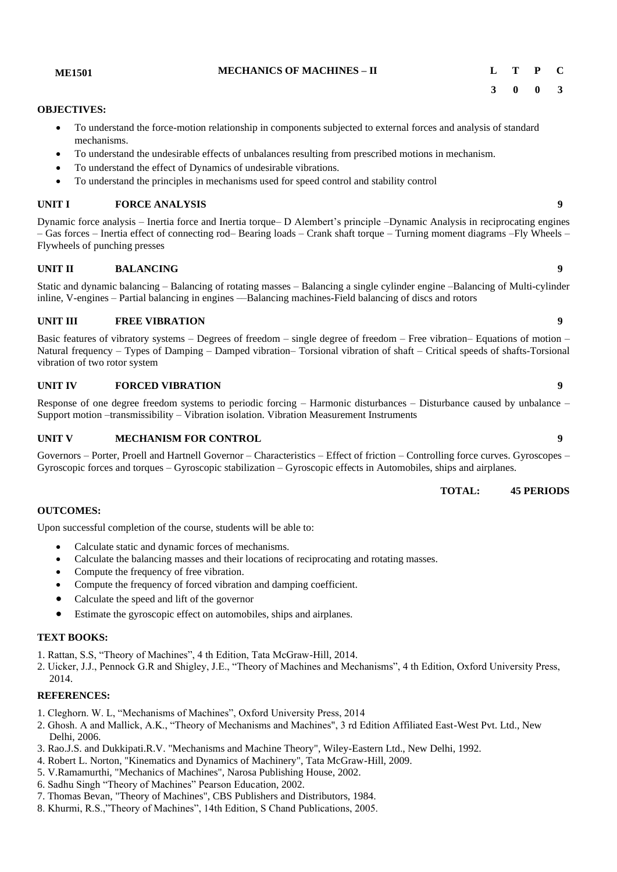**ME1501 MECHANICS OF MACHINES – II L T P C**

#### **OBJECTIVES:**

- To understand the force-motion relationship in components subjected to external forces and analysis of standard mechanisms.
- To understand the undesirable effects of unbalances resulting from prescribed motions in mechanism.
- To understand the effect of Dynamics of undesirable vibrations.
- To understand the principles in mechanisms used for speed control and stability control

#### **UNIT I FORCE ANALYSIS 9**

Dynamic force analysis – Inertia force and Inertia torque– D Alembert's principle –Dynamic Analysis in reciprocating engines – Gas forces – Inertia effect of connecting rod– Bearing loads – Crank shaft torque – Turning moment diagrams –Fly Wheels – Flywheels of punching presses

#### **UNIT II BALANCING 9**

Static and dynamic balancing – Balancing of rotating masses – Balancing a single cylinder engine –Balancing of Multi-cylinder inline, V-engines – Partial balancing in engines ––Balancing machines-Field balancing of discs and rotors

#### **UNIT III FREE VIBRATION 9**

Basic features of vibratory systems – Degrees of freedom – single degree of freedom – Free vibration– Equations of motion – Natural frequency – Types of Damping – Damped vibration– Torsional vibration of shaft – Critical speeds of shafts-Torsional vibration of two rotor system

#### **UNIT IV FORCED VIBRATION 9**

Response of one degree freedom systems to periodic forcing – Harmonic disturbances – Disturbance caused by unbalance – Support motion –transmissibility – Vibration isolation. Vibration Measurement Instruments

#### **UNIT V MECHANISM FOR CONTROL 9**

Governors – Porter, Proell and Hartnell Governor – Characteristics – Effect of friction – Controlling force curves. Gyroscopes – Gyroscopic forces and torques – Gyroscopic stabilization – Gyroscopic effects in Automobiles, ships and airplanes.

**TOTAL: 45 PERIODS**

#### **OUTCOMES:**

Upon successful completion of the course, students will be able to:

- Calculate static and dynamic forces of mechanisms.
- Calculate the balancing masses and their locations of reciprocating and rotating masses.
- Compute the frequency of free vibration.
- Compute the frequency of forced vibration and damping coefficient.
- Calculate the speed and lift of the governor
- Estimate the gyroscopic effect on automobiles, ships and airplanes.

#### **TEXT BOOKS:**

- 1. Rattan, S.S, "Theory of Machines", 4 th Edition, Tata McGraw-Hill, 2014.
- 2. Uicker, J.J., Pennock G.R and Shigley, J.E., "Theory of Machines and Mechanisms", 4 th Edition, Oxford University Press, 2014.

#### **REFERENCES:**

- 1. Cleghorn. W. L, "Mechanisms of Machines", Oxford University Press, 2014
- 2. Ghosh. A and Mallick, A.K., "Theory of Mechanisms and Machines", 3 rd Edition Affiliated East-West Pvt. Ltd., New Delhi, 2006.
- 3. Rao.J.S. and Dukkipati.R.V. "Mechanisms and Machine Theory", Wiley-Eastern Ltd., New Delhi, 1992.
- 4. Robert L. Norton, "Kinematics and Dynamics of Machinery", Tata McGraw-Hill, 2009.
- 5. V.Ramamurthi, "Mechanics of Machines", Narosa Publishing House, 2002.
- 6. Sadhu Singh "Theory of Machines" Pearson Education, 2002.
- 7. Thomas Bevan, "Theory of Machines", CBS Publishers and Distributors, 1984.
- 8. Khurmi, R.S.,"Theory of Machines", 14th Edition, S Chand Publications, 2005.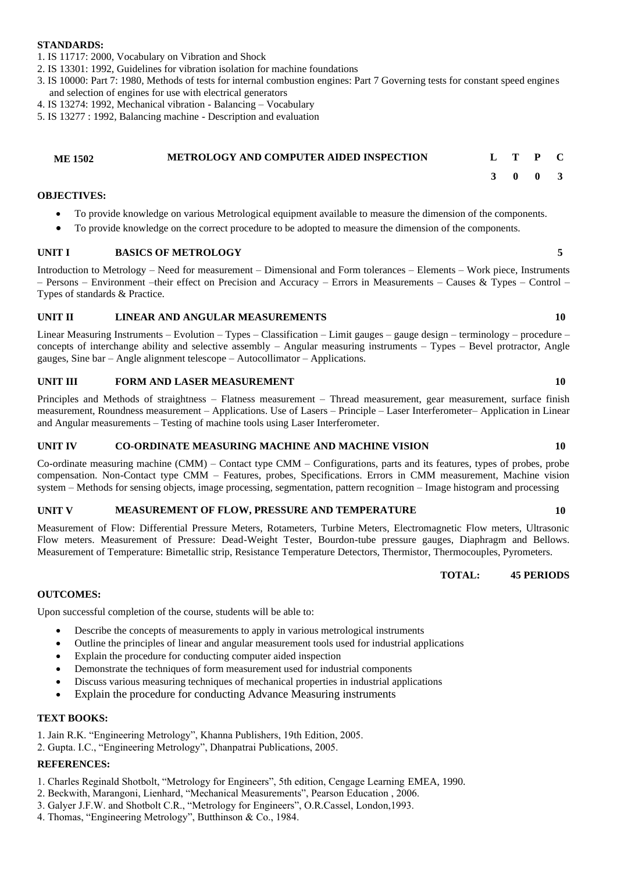#### **STANDARDS:**

- 1. IS 11717: 2000, Vocabulary on Vibration and Shock
- 2. IS 13301: 1992, Guidelines for vibration isolation for machine foundations
- 3. IS 10000: Part 7: 1980, Methods of tests for internal combustion engines: Part 7 Governing tests for constant speed engines and selection of engines for use with electrical generators
- 4. IS 13274: 1992, Mechanical vibration Balancing Vocabulary
- 5. IS 13277 : 1992, Balancing machine Description and evaluation

### **ME 1502 METROLOGY AND COMPUTER AIDED INSPECTION L T P C**

#### **OBJECTIVES:**

- To provide knowledge on various Metrological equipment available to measure the dimension of the components.
- To provide knowledge on the correct procedure to be adopted to measure the dimension of the components.

#### **UNIT I BASICS OF METROLOGY 5**

Introduction to Metrology – Need for measurement – Dimensional and Form tolerances – Elements – Work piece, Instruments – Persons – Environment –their effect on Precision and Accuracy – Errors in Measurements – Causes & Types – Control – Types of standards & Practice.

#### **UNIT II LINEAR AND ANGULAR MEASUREMENTS 10**

Linear Measuring Instruments – Evolution – Types – Classification – Limit gauges – gauge design – terminology – procedure – concepts of interchange ability and selective assembly – Angular measuring instruments – Types – Bevel protractor, Angle gauges, Sine bar – Angle alignment telescope – Autocollimator – Applications.

#### **UNIT III FORM AND LASER MEASUREMENT 10**

Principles and Methods of straightness – Flatness measurement – Thread measurement, gear measurement, surface finish measurement, Roundness measurement – Applications. Use of Lasers – Principle – Laser Interferometer– Application in Linear and Angular measurements – Testing of machine tools using Laser Interferometer.

#### **UNIT IV CO-ORDINATE MEASURING MACHINE AND MACHINE VISION 10**

Co-ordinate measuring machine (CMM) – Contact type CMM – Configurations, parts and its features, types of probes, probe compensation. Non-Contact type CMM – Features, probes, Specifications. Errors in CMM measurement, Machine vision system – Methods for sensing objects, image processing, segmentation, pattern recognition – Image histogram and processing

#### **UNIT V MEASUREMENT OF FLOW, PRESSURE AND TEMPERATURE 10**

Measurement of Flow: Differential Pressure Meters, Rotameters, Turbine Meters, Electromagnetic Flow meters, Ultrasonic Flow meters. Measurement of Pressure: Dead-Weight Tester, Bourdon-tube pressure gauges, Diaphragm and Bellows. Measurement of Temperature: Bimetallic strip, Resistance Temperature Detectors, Thermistor, Thermocouples, Pyrometers.

#### **OUTCOMES:**

Upon successful completion of the course, students will be able to:

- Describe the concepts of measurements to apply in various metrological instruments
- Outline the principles of linear and angular measurement tools used for industrial applications
- Explain the procedure for conducting computer aided inspection
- Demonstrate the techniques of form measurement used for industrial components
- Discuss various measuring techniques of mechanical properties in industrial applications
- Explain the procedure for conducting Advance Measuring instruments

### **TEXT BOOKS:**

- 1. Jain R.K. "Engineering Metrology", Khanna Publishers, 19th Edition, 2005.
- 2. Gupta. I.C., "Engineering Metrology", Dhanpatrai Publications, 2005.

### **REFERENCES:**

- 1. Charles Reginald Shotbolt, "Metrology for Engineers", 5th edition, Cengage Learning EMEA, 1990.
- 2. Beckwith, Marangoni, Lienhard, "Mechanical Measurements", Pearson Education , 2006.
- 3. Galyer J.F.W. and Shotbolt C.R., "Metrology for Engineers", O.R.Cassel, London,1993.
- 4. Thomas, "Engineering Metrology", Butthinson & Co., 1984.

# **3 0 0 3**

### **TOTAL: 45 PERIODS**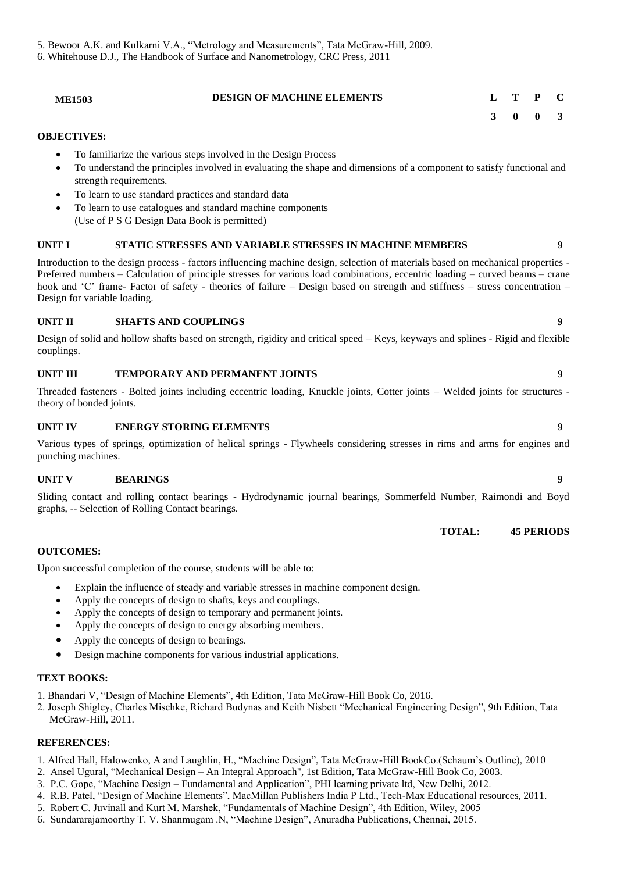5. Bewoor A.K. and Kulkarni V.A., "Metrology and Measurements", Tata McGraw-Hill, 2009.

6. Whitehouse D.J., The Handbook of Surface and Nanometrology, CRC Press, 2011

|           | <b>DESIGN OF MACHINE ELEMENTS</b><br><b>ME1503</b>                                                                                                                                                                         |   |              |   |
|-----------|----------------------------------------------------------------------------------------------------------------------------------------------------------------------------------------------------------------------------|---|--------------|---|
|           |                                                                                                                                                                                                                            | 3 | $\mathbf{0}$ |   |
|           | <b>OBJECTIVES:</b>                                                                                                                                                                                                         |   |              |   |
| $\bullet$ | To familiarize the various steps involved in the Design Process                                                                                                                                                            |   |              |   |
| ٠         | To understand the principles involved in evaluating the shape and dimensions of a component to satisfy functional and<br>strength requirements.                                                                            |   |              |   |
| $\bullet$ | To learn to use standard practices and standard data                                                                                                                                                                       |   |              |   |
| $\bullet$ | To learn to use catalogues and standard machine components                                                                                                                                                                 |   |              |   |
|           | (Use of P S G Design Data Book is permitted)                                                                                                                                                                               |   |              |   |
| UNIT I    | <b>STATIC STRESSES AND VARIABLE STRESSES IN MACHINE MEMBERS</b>                                                                                                                                                            |   |              | q |
|           | Then it is a set of the interesting $\mathcal{C}$ is a set of the set of the interest of $\mathcal{C}$ and $\mathcal{C}$ is a set of $\mathcal{C}$ and $\mathcal{C}$ is a set of $\mathcal{C}$ is a set of $\mathcal{C}$ . |   |              |   |

Introduction to the design process - factors influencing machine design, selection of materials based on mechanical properties - Preferred numbers – Calculation of principle stresses for various load combinations, eccentric loading – curved beams – crane hook and 'C' frame- Factor of safety - theories of failure – Design based on strength and stiffness – stress concentration – Design for variable loading.

#### **UNIT II SHAFTS AND COUPLINGS 9**

Design of solid and hollow shafts based on strength, rigidity and critical speed – Keys, keyways and splines - Rigid and flexible couplings.

#### **UNIT III TEMPORARY AND PERMANENT JOINTS 9**

Threaded fasteners - Bolted joints including eccentric loading, Knuckle joints, Cotter joints – Welded joints for structures theory of bonded joints.

#### **UNIT IV ENERGY STORING ELEMENTS 9**

Various types of springs, optimization of helical springs - Flywheels considering stresses in rims and arms for engines and punching machines.

#### **UNIT V BEARINGS 9**

Sliding contact and rolling contact bearings - Hydrodynamic journal bearings, Sommerfeld Number, Raimondi and Boyd graphs, -- Selection of Rolling Contact bearings.

#### **TOTAL: 45 PERIODS**

#### **OUTCOMES:**

Upon successful completion of the course, students will be able to:

- Explain the influence of steady and variable stresses in machine component design.
- Apply the concepts of design to shafts, keys and couplings.
- Apply the concepts of design to temporary and permanent joints.
- Apply the concepts of design to energy absorbing members.
- Apply the concepts of design to bearings.
- Design machine components for various industrial applications.

#### **TEXT BOOKS:**

1. Bhandari V, "Design of Machine Elements", 4th Edition, Tata McGraw-Hill Book Co, 2016.

2. Joseph Shigley, Charles Mischke, Richard Budynas and Keith Nisbett "Mechanical Engineering Design", 9th Edition, Tata McGraw-Hill, 2011.

#### **REFERENCES:**

- 1. Alfred Hall, Halowenko, A and Laughlin, H., "Machine Design", Tata McGraw-Hill BookCo.(Schaum's Outline), 2010
- 2. Ansel Ugural, "Mechanical Design An Integral Approach", 1st Edition, Tata McGraw-Hill Book Co, 2003.
- 3. P.C. Gope, "Machine Design Fundamental and Application", PHI learning private ltd, New Delhi, 2012.
- 4. R.B. Patel, "Design of Machine Elements", MacMillan Publishers India P Ltd., Tech-Max Educational resources, 2011.
- 5. Robert C. Juvinall and Kurt M. Marshek, "Fundamentals of Machine Design", 4th Edition, Wiley, 2005
- 6. Sundararajamoorthy T. V. Shanmugam .N, "Machine Design", Anuradha Publications, Chennai, 2015.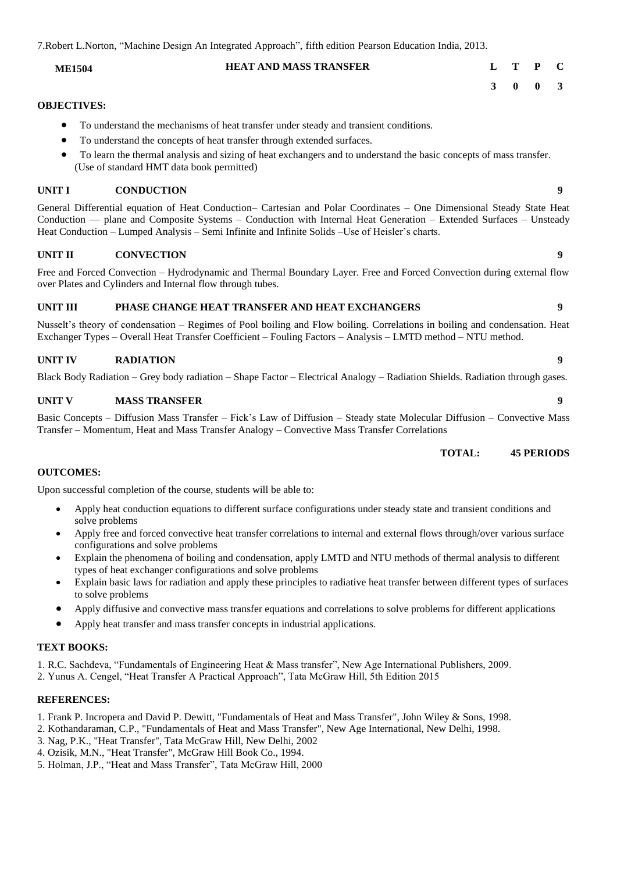7.Robert L.Norton, "Machine Design An Integrated Approach", fifth edition Pearson Education India, 2013.

### **ME1504 HEAT AND MASS TRANSFER L T P C**

#### **OBJECTIVES:**

- To understand the mechanisms of heat transfer under steady and transient conditions.
- To understand the concepts of heat transfer through extended surfaces.
- To learn the thermal analysis and sizing of heat exchangers and to understand the basic concepts of mass transfer. (Use of standard HMT data book permitted)

#### **UNIT I CONDUCTION 9**

General Differential equation of Heat Conduction– Cartesian and Polar Coordinates – One Dimensional Steady State Heat Conduction –– plane and Composite Systems – Conduction with Internal Heat Generation – Extended Surfaces – Unsteady Heat Conduction – Lumped Analysis – Semi Infinite and Infinite Solids –Use of Heisler's charts.

#### **UNIT II CONVECTION 9**

Free and Forced Convection – Hydrodynamic and Thermal Boundary Layer. Free and Forced Convection during external flow over Plates and Cylinders and Internal flow through tubes.

#### **UNIT III PHASE CHANGE HEAT TRANSFER AND HEAT EXCHANGERS 9**

Nusselt's theory of condensation – Regimes of Pool boiling and Flow boiling. Correlations in boiling and condensation. Heat Exchanger Types – Overall Heat Transfer Coefficient – Fouling Factors – Analysis – LMTD method – NTU method.

#### **UNIT IV RADIATION 9**

Black Body Radiation – Grey body radiation – Shape Factor – Electrical Analogy – Radiation Shields. Radiation through gases.

#### **UNIT V MASS TRANSFER 9**

Basic Concepts – Diffusion Mass Transfer – Fick's Law of Diffusion – Steady state Molecular Diffusion – Convective Mass Transfer – Momentum, Heat and Mass Transfer Analogy – Convective Mass Transfer Correlations

#### **TOTAL: 45 PERIODS**

#### **OUTCOMES:**

Upon successful completion of the course, students will be able to:

- Apply heat conduction equations to different surface configurations under steady state and transient conditions and solve problems
- Apply free and forced convective heat transfer correlations to internal and external flows through/over various surface configurations and solve problems
- Explain the phenomena of boiling and condensation, apply LMTD and NTU methods of thermal analysis to different types of heat exchanger configurations and solve problems
- Explain basic laws for radiation and apply these principles to radiative heat transfer between different types of surfaces to solve problems
- Apply diffusive and convective mass transfer equations and correlations to solve problems for different applications
- Apply heat transfer and mass transfer concepts in industrial applications.

#### **TEXT BOOKS:**

1. R.C. Sachdeva, "Fundamentals of Engineering Heat & Mass transfer", New Age International Publishers, 2009.

2. Yunus A. Cengel, "Heat Transfer A Practical Approach", Tata McGraw Hill, 5th Edition 2015

#### **REFERENCES:**

1. Frank P. Incropera and David P. Dewitt, "Fundamentals of Heat and Mass Transfer", John Wiley & Sons, 1998.

- 2. Kothandaraman, C.P., "Fundamentals of Heat and Mass Transfer", New Age International, New Delhi, 1998.
- 3. Nag, P.K., "Heat Transfer", Tata McGraw Hill, New Delhi, 2002
- 4. Ozisik, M.N., "Heat Transfer", McGraw Hill Book Co., 1994.
- 5. Holman, J.P., "Heat and Mass Transfer", Tata McGraw Hill, 2000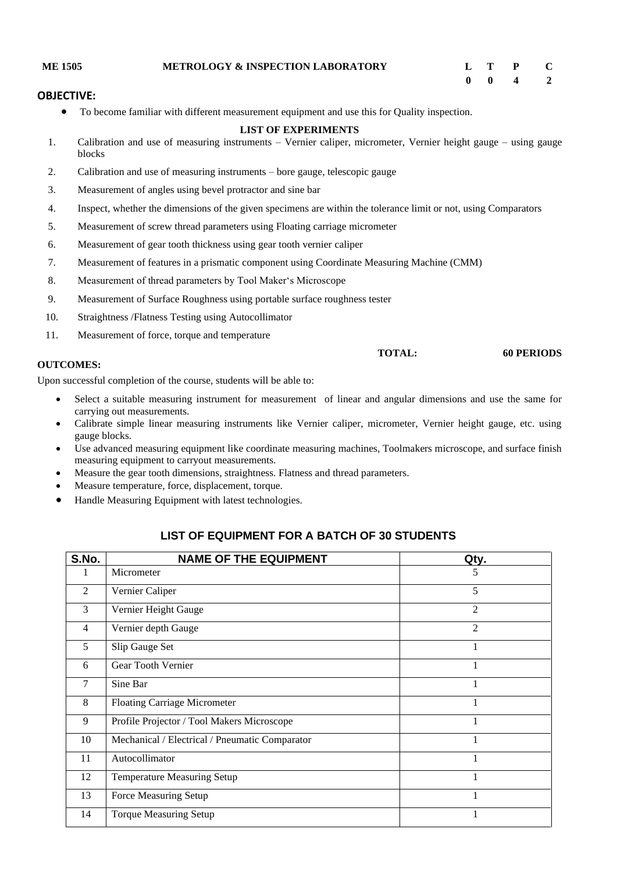| <b>ME 1505</b> | <b>METROLOGY &amp; INSPECTION LABORATORY</b> |  | L T P C                     |  |
|----------------|----------------------------------------------|--|-----------------------------|--|
|                |                                              |  | $0 \quad 0 \quad 4 \quad 2$ |  |

#### **OBJECTIVE:**

• To become familiar with different measurement equipment and use this for Quality inspection.

#### **LIST OF EXPERIMENTS**

- 1. Calibration and use of measuring instruments Vernier caliper, micrometer, Vernier height gauge using gauge blocks
- 2. Calibration and use of measuring instruments bore gauge, telescopic gauge
- 3. Measurement of angles using bevel protractor and sine bar
- 4. Inspect, whether the dimensions of the given specimens are within the tolerance limit or not, using Comparators
- 5. Measurement of screw thread parameters using Floating carriage micrometer
- 6. Measurement of gear tooth thickness using gear tooth vernier caliper
- 7. Measurement of features in a prismatic component using Coordinate Measuring Machine (CMM)
- 8. Measurement of thread parameters by Tool Maker's Microscope
- 9. Measurement of Surface Roughness using portable surface roughness tester
- 10. Straightness /Flatness Testing using Autocollimator
- 11. Measurement of force, torque and temperature

**TOTAL: 60 PERIODS**

#### **OUTCOMES:**

Upon successful completion of the course, students will be able to:

- Select a suitable measuring instrument for measurement of linear and angular dimensions and use the same for carrying out measurements.
- Calibrate simple linear measuring instruments like Vernier caliper, micrometer, Vernier height gauge, etc. using gauge blocks.
- Use advanced measuring equipment like coordinate measuring machines, Toolmakers microscope, and surface finish measuring equipment to carryout measurements.
- Measure the gear tooth dimensions, straightness. Flatness and thread parameters.
- Measure temperature, force, displacement, torque.
- Handle Measuring Equipment with latest technologies.

### **LIST OF EQUIPMENT FOR A BATCH OF 30 STUDENTS**

| S.No.          | <b>NAME OF THE EQUIPMENT</b>                   | Qty.           |
|----------------|------------------------------------------------|----------------|
|                | Micrometer                                     | 5              |
| 2              | Vernier Caliper                                | 5              |
| 3              | Vernier Height Gauge                           | $\overline{2}$ |
| $\overline{4}$ | Vernier depth Gauge                            | 2              |
| 5              | Slip Gauge Set                                 |                |
| 6              | Gear Tooth Vernier                             |                |
| 7              | Sine Bar                                       |                |
| 8              | <b>Floating Carriage Micrometer</b>            |                |
| 9              | Profile Projector / Tool Makers Microscope     |                |
| 10             | Mechanical / Electrical / Pneumatic Comparator |                |
| 11             | Autocollimator                                 |                |
| 12             | Temperature Measuring Setup                    |                |
| 13             | Force Measuring Setup                          |                |
| 14             | <b>Torque Measuring Setup</b>                  |                |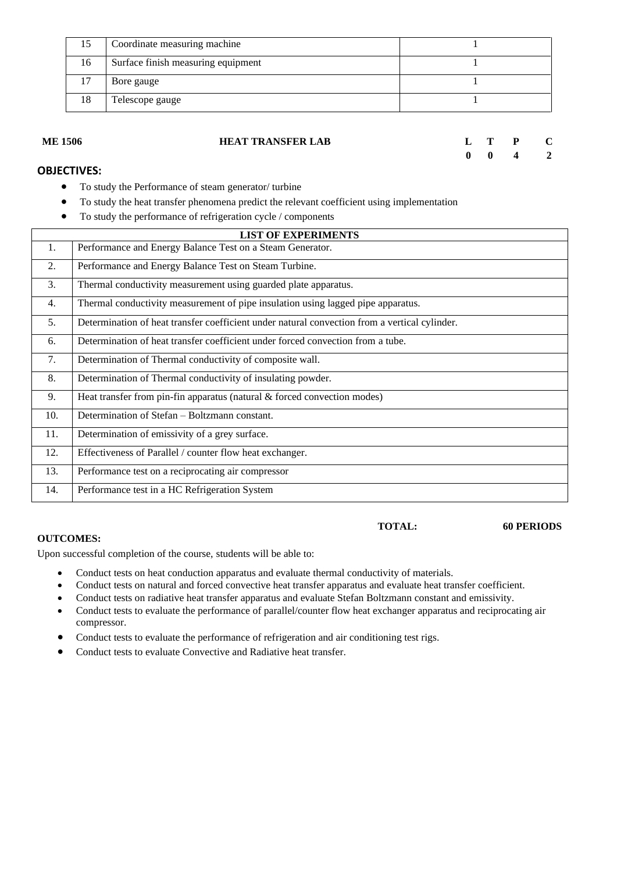| 15 | Coordinate measuring machine       |  |
|----|------------------------------------|--|
| 16 | Surface finish measuring equipment |  |
|    | Bore gauge                         |  |
| 18 | Telescope gauge                    |  |

| <b>ME 1506</b>     | <b>HEAT TRANSFER LAB</b> |  | $L$ T P C                   |  |
|--------------------|--------------------------|--|-----------------------------|--|
|                    |                          |  | $0 \quad 0 \quad 4 \quad 2$ |  |
| <b>ODIECTIVES.</b> |                          |  |                             |  |

### **OBJECTIVES:**

- To study the Performance of steam generator/ turbine
- To study the heat transfer phenomena predict the relevant coefficient using implementation
- To study the performance of refrigeration cycle / components

|     | <b>LIST OF EXPERIMENTS</b>                                                                    |  |  |  |
|-----|-----------------------------------------------------------------------------------------------|--|--|--|
| 1.  | Performance and Energy Balance Test on a Steam Generator.                                     |  |  |  |
| 2.  | Performance and Energy Balance Test on Steam Turbine.                                         |  |  |  |
| 3.  | Thermal conductivity measurement using guarded plate apparatus.                               |  |  |  |
| 4.  | Thermal conductivity measurement of pipe insulation using lagged pipe apparatus.              |  |  |  |
| 5.  | Determination of heat transfer coefficient under natural convection from a vertical cylinder. |  |  |  |
| 6.  | Determination of heat transfer coefficient under forced convection from a tube.               |  |  |  |
| 7.  | Determination of Thermal conductivity of composite wall.                                      |  |  |  |
| 8.  | Determination of Thermal conductivity of insulating powder.                                   |  |  |  |
| 9.  | Heat transfer from pin-fin apparatus (natural & forced convection modes)                      |  |  |  |
| 10. | Determination of Stefan - Boltzmann constant.                                                 |  |  |  |
| 11. | Determination of emissivity of a grey surface.                                                |  |  |  |
| 12. | Effectiveness of Parallel / counter flow heat exchanger.                                      |  |  |  |
| 13. | Performance test on a reciprocating air compressor                                            |  |  |  |
| 14. | Performance test in a HC Refrigeration System                                                 |  |  |  |

#### **OUTCOMES:**

Upon successful completion of the course, students will be able to:

- Conduct tests on heat conduction apparatus and evaluate thermal conductivity of materials.
- Conduct tests on natural and forced convective heat transfer apparatus and evaluate heat transfer coefficient.
- Conduct tests on radiative heat transfer apparatus and evaluate Stefan Boltzmann constant and emissivity.
- Conduct tests to evaluate the performance of parallel/counter flow heat exchanger apparatus and reciprocating air compressor.
- Conduct tests to evaluate the performance of refrigeration and air conditioning test rigs.
- Conduct tests to evaluate Convective and Radiative heat transfer.

### **TOTAL: 60 PERIODS**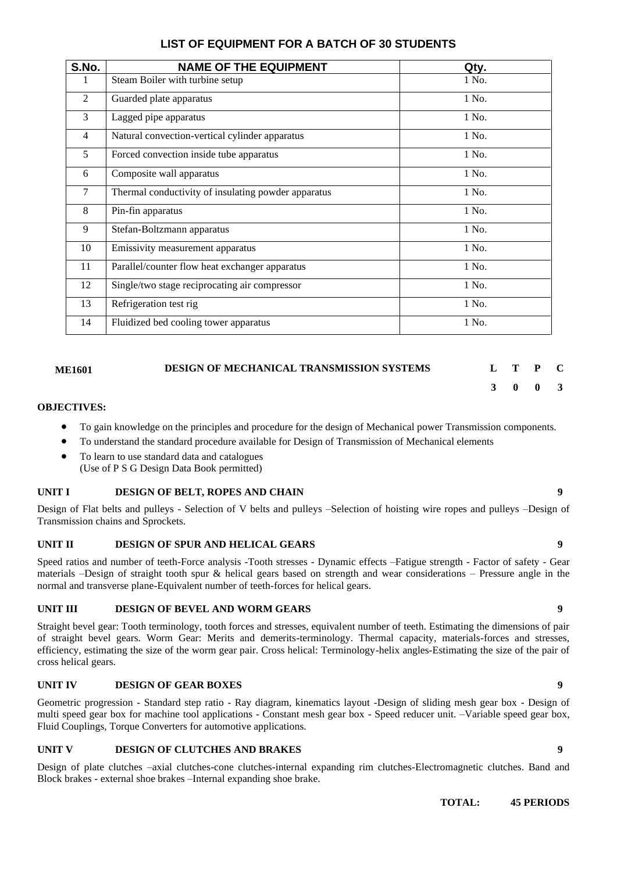### **LIST OF EQUIPMENT FOR A BATCH OF 30 STUDENTS**

| <b>NAME OF THE EQUIPMENT</b>                        | Qty.  |
|-----------------------------------------------------|-------|
| Steam Boiler with turbine setup                     | 1 No. |
| Guarded plate apparatus                             | 1 No. |
| Lagged pipe apparatus                               | 1 No. |
| Natural convection-vertical cylinder apparatus      | 1 No. |
| Forced convection inside tube apparatus             | 1 No. |
| Composite wall apparatus                            | 1 No. |
| Thermal conductivity of insulating powder apparatus | 1 No. |
| Pin-fin apparatus                                   | 1 No. |
| Stefan-Boltzmann apparatus                          | 1 No. |
| Emissivity measurement apparatus                    | 1 No. |
| Parallel/counter flow heat exchanger apparatus      | 1 No. |
| Single/two stage reciprocating air compressor       | 1 No. |
| Refrigeration test rig                              | 1 No. |
| Fluidized bed cooling tower apparatus               | 1 No. |
|                                                     |       |

### **ME1601 DESIGN OF MECHANICAL TRANSMISSION SYSTEMS L T P C**

# **3 0 0 3**

#### **OBJECTIVES:**

- To gain knowledge on the principles and procedure for the design of Mechanical power Transmission components.
- To understand the standard procedure available for Design of Transmission of Mechanical elements
- To learn to use standard data and catalogues (Use of P S G Design Data Book permitted)

#### **UNIT I DESIGN OF BELT, ROPES AND CHAIN 9**

Design of Flat belts and pulleys - Selection of V belts and pulleys –Selection of hoisting wire ropes and pulleys –Design of Transmission chains and Sprockets.

### **UNIT II DESIGN OF SPUR AND HELICAL GEARS 9**

Speed ratios and number of teeth-Force analysis -Tooth stresses - Dynamic effects –Fatigue strength - Factor of safety - Gear materials –Design of straight tooth spur & helical gears based on strength and wear considerations – Pressure angle in the normal and transverse plane-Equivalent number of teeth-forces for helical gears.

### **UNIT III DESIGN OF BEVEL AND WORM GEARS 9**

Straight bevel gear: Tooth terminology, tooth forces and stresses, equivalent number of teeth. Estimating the dimensions of pair of straight bevel gears. Worm Gear: Merits and demerits-terminology. Thermal capacity, materials-forces and stresses, efficiency, estimating the size of the worm gear pair. Cross helical: Terminology-helix angles-Estimating the size of the pair of cross helical gears.

### **UNIT IV DESIGN OF GEAR BOXES 9**

Geometric progression - Standard step ratio - Ray diagram, kinematics layout -Design of sliding mesh gear box - Design of multi speed gear box for machine tool applications - Constant mesh gear box - Speed reducer unit. –Variable speed gear box, Fluid Couplings, Torque Converters for automotive applications.

#### **UNIT V DESIGN OF CLUTCHES AND BRAKES 9**

Design of plate clutches –axial clutches-cone clutches-internal expanding rim clutches-Electromagnetic clutches. Band and Block brakes - external shoe brakes –Internal expanding shoe brake.

**TOTAL: 45 PERIODS**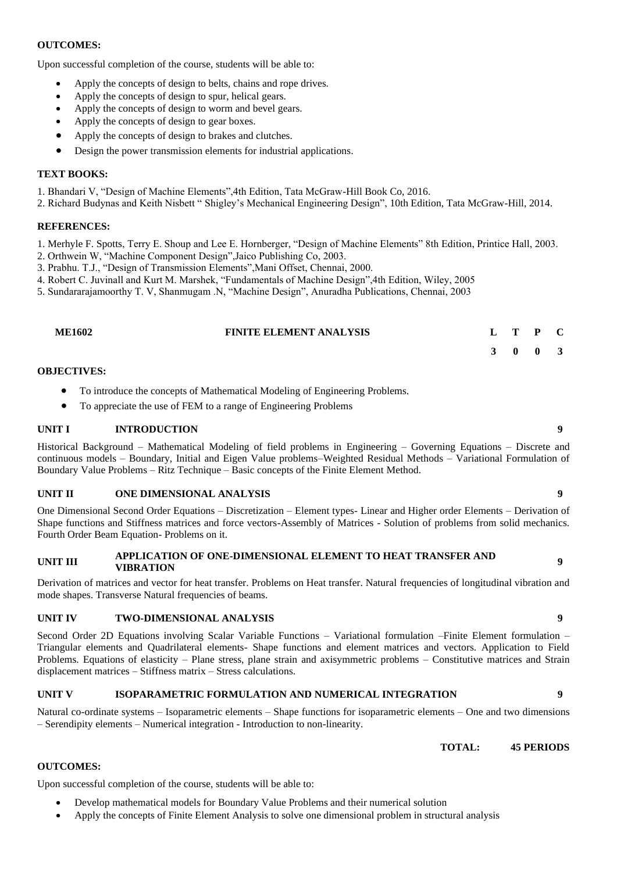#### **OUTCOMES:**

Upon successful completion of the course, students will be able to:

- Apply the concepts of design to belts, chains and rope drives.
- Apply the concepts of design to spur, helical gears.
- Apply the concepts of design to worm and bevel gears.
- Apply the concepts of design to gear boxes.
- Apply the concepts of design to brakes and clutches.
- Design the power transmission elements for industrial applications.

### **TEXT BOOKS:**

- 1. Bhandari V, "Design of Machine Elements",4th Edition, Tata McGraw-Hill Book Co, 2016.
- 2. Richard Budynas and Keith Nisbett " Shigley's Mechanical Engineering Design", 10th Edition, Tata McGraw-Hill, 2014.

### **REFERENCES:**

- 1. Merhyle F. Spotts, Terry E. Shoup and Lee E. Hornberger, "Design of Machine Elements" 8th Edition, Printice Hall, 2003.
- 2. Orthwein W, "Machine Component Design",Jaico Publishing Co, 2003.
- 3. Prabhu. T.J., "Design of Transmission Elements",Mani Offset, Chennai, 2000.
- 4. Robert C. Juvinall and Kurt M. Marshek, "Fundamentals of Machine Design",4th Edition, Wiley, 2005
- 5. Sundararajamoorthy T. V, Shanmugam .N, "Machine Design", Anuradha Publications, Chennai, 2003

| <b>ME1602</b> | <b>FINITE ELEMENT ANALYSIS</b> | L T P C |  |
|---------------|--------------------------------|---------|--|
|               |                                | 3 0 0 3 |  |

### **OBJECTIVES:**

- To introduce the concepts of Mathematical Modeling of Engineering Problems.
- To appreciate the use of FEM to a range of Engineering Problems

#### **UNIT I INTRODUCTION 9**

Historical Background – Mathematical Modeling of field problems in Engineering – Governing Equations – Discrete and continuous models – Boundary, Initial and Eigen Value problems–Weighted Residual Methods – Variational Formulation of Boundary Value Problems – Ritz Technique – Basic concepts of the Finite Element Method.

#### **UNIT II ONE DIMENSIONAL ANALYSIS 9**

One Dimensional Second Order Equations – Discretization – Element types- Linear and Higher order Elements – Derivation of Shape functions and Stiffness matrices and force vectors-Assembly of Matrices - Solution of problems from solid mechanics. Fourth Order Beam Equation- Problems on it.

# **UNIT III APPLICATION OF ONE-DIMENSIONAL ELEMENT TO HEAT TRANSFER AND VIBRATION <sup>9</sup>**

Derivation of matrices and vector for heat transfer. Problems on Heat transfer. Natural frequencies of longitudinal vibration and mode shapes. Transverse Natural frequencies of beams.

### **UNIT IV TWO-DIMENSIONAL ANALYSIS 9**

Second Order 2D Equations involving Scalar Variable Functions – Variational formulation –Finite Element formulation – Triangular elements and Quadrilateral elements- Shape functions and element matrices and vectors. Application to Field Problems. Equations of elasticity – Plane stress, plane strain and axisymmetric problems – Constitutive matrices and Strain displacement matrices – Stiffness matrix – Stress calculations.

### **UNIT V ISOPARAMETRIC FORMULATION AND NUMERICAL INTEGRATION 9**

Natural co-ordinate systems – Isoparametric elements – Shape functions for isoparametric elements – One and two dimensions – Serendipity elements – Numerical integration - Introduction to non-linearity.

**TOTAL: 45 PERIODS**

### **OUTCOMES:**

Upon successful completion of the course, students will be able to:

- Develop mathematical models for Boundary Value Problems and their numerical solution
- Apply the concepts of Finite Element Analysis to solve one dimensional problem in structural analysis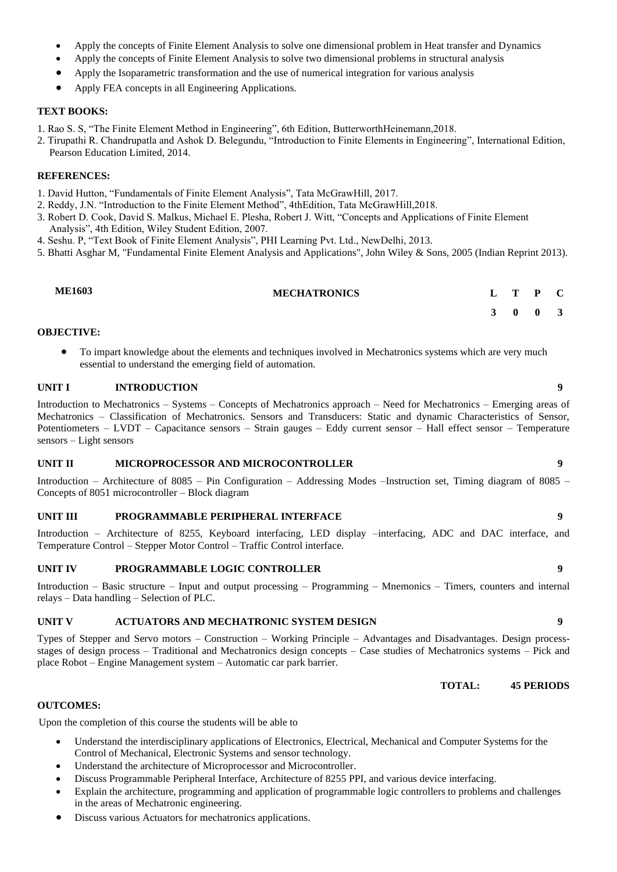- Apply the concepts of Finite Element Analysis to solve one dimensional problem in Heat transfer and Dynamics
- Apply the concepts of Finite Element Analysis to solve two dimensional problems in structural analysis
- Apply the Isoparametric transformation and the use of numerical integration for various analysis
- Apply FEA concepts in all Engineering Applications.

- 1. Rao S. S, "The Finite Element Method in Engineering", 6th Edition, ButterworthHeinemann,2018.
- 2. Tirupathi R. Chandrupatla and Ashok D. Belegundu, "Introduction to Finite Elements in Engineering", International Edition, Pearson Education Limited, 2014.

#### **REFERENCES:**

- 1. David Hutton, "Fundamentals of Finite Element Analysis", Tata McGrawHill, 2017.
- 2. Reddy, J.N. "Introduction to the Finite Element Method", 4thEdition, Tata McGrawHill,2018.
- 3. Robert D. Cook, David S. Malkus, Michael E. Plesha, Robert J. Witt, "Concepts and Applications of Finite Element Analysis", 4th Edition, Wiley Student Edition, 2007.
- 4. Seshu. P, "Text Book of Finite Element Analysis", PHI Learning Pvt. Ltd., NewDelhi, 2013.
- 5. Bhatti Asghar M, "Fundamental Finite Element Analysis and Applications", John Wiley & Sons, 2005 (Indian Reprint 2013).

| <b>ME1603</b>     | <b>MECHATRONICS</b> |  | $L$ T P C |  |
|-------------------|---------------------|--|-----------|--|
|                   |                     |  | 3 0 0 3   |  |
| <b>OBJECTIVE:</b> |                     |  |           |  |

• To impart knowledge about the elements and techniques involved in Mechatronics systems which are very much essential to understand the emerging field of automation.

#### **UNIT I INTRODUCTION 9**

Introduction to Mechatronics – Systems – Concepts of Mechatronics approach – Need for Mechatronics – Emerging areas of Mechatronics – Classification of Mechatronics. Sensors and Transducers: Static and dynamic Characteristics of Sensor, Potentiometers – LVDT – Capacitance sensors – Strain gauges – Eddy current sensor – Hall effect sensor – Temperature sensors – Light sensors

#### **UNIT II MICROPROCESSOR AND MICROCONTROLLER 9**

Introduction – Architecture of 8085 – Pin Configuration – Addressing Modes –Instruction set, Timing diagram of 8085 – Concepts of 8051 microcontroller – Block diagram

#### **UNIT III PROGRAMMABLE PERIPHERAL INTERFACE 9**

Introduction – Architecture of 8255, Keyboard interfacing, LED display –interfacing, ADC and DAC interface, and Temperature Control – Stepper Motor Control – Traffic Control interface.

#### **UNIT IV PROGRAMMABLE LOGIC CONTROLLER 9**

Introduction – Basic structure – Input and output processing – Programming – Mnemonics – Timers, counters and internal relays – Data handling – Selection of PLC.

#### **UNIT V ACTUATORS AND MECHATRONIC SYSTEM DESIGN 9**

Types of Stepper and Servo motors – Construction – Working Principle – Advantages and Disadvantages. Design processstages of design process – Traditional and Mechatronics design concepts – Case studies of Mechatronics systems – Pick and place Robot – Engine Management system – Automatic car park barrier.

**TOTAL: 45 PERIODS**

#### **OUTCOMES:**

Upon the completion of this course the students will be able to

- Understand the interdisciplinary applications of Electronics, Electrical, Mechanical and Computer Systems for the Control of Mechanical, Electronic Systems and sensor technology.
- Understand the architecture of Microprocessor and Microcontroller.
- Discuss Programmable Peripheral Interface, Architecture of 8255 PPI, and various device interfacing.
- Explain the architecture, programming and application of programmable logic controllers to problems and challenges in the areas of Mechatronic engineering.
- Discuss various Actuators for mechatronics applications.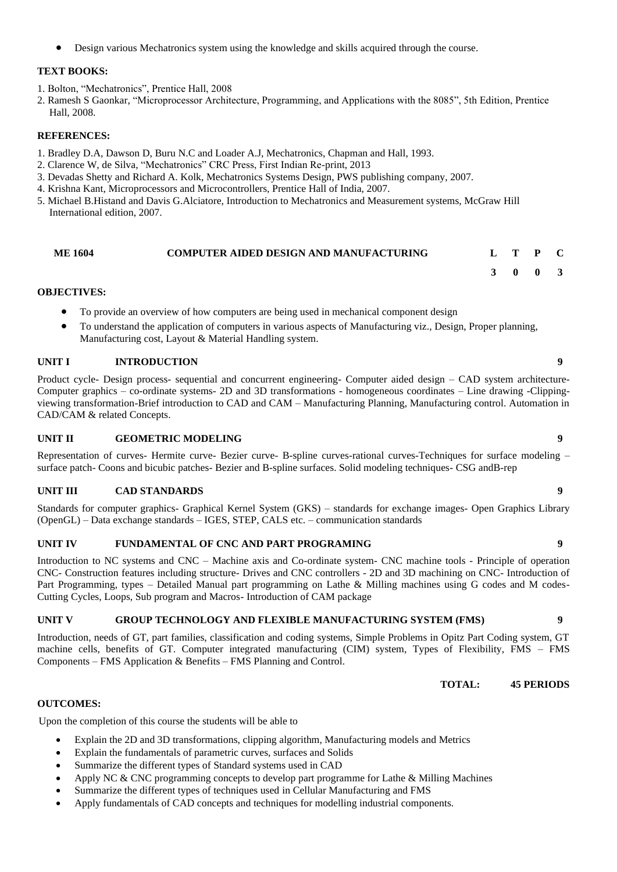• Design various Mechatronics system using the knowledge and skills acquired through the course.

#### **TEXT BOOKS:**

- 1. Bolton, "Mechatronics", Prentice Hall, 2008
- 2. Ramesh S Gaonkar, "Microprocessor Architecture, Programming, and Applications with the 8085", 5th Edition, Prentice Hall, 2008.

#### **REFERENCES:**

- 1. Bradley D.A, Dawson D, Buru N.C and Loader A.J, Mechatronics, Chapman and Hall, 1993.
- 2. Clarence W, de Silva, "Mechatronics" CRC Press, First Indian Re-print, 2013
- 3. Devadas Shetty and Richard A. Kolk, Mechatronics Systems Design, PWS publishing company, 2007.
- 4. Krishna Kant, Microprocessors and Microcontrollers, Prentice Hall of India, 2007.
- 5. Michael B.Histand and Davis G.Alciatore, Introduction to Mechatronics and Measurement systems, McGraw Hill International edition, 2007.

### **ME 1604 COMPUTER AIDED DESIGN AND MANUFACTURING L T P C**

#### **OBJECTIVES:**

- To provide an overview of how computers are being used in mechanical component design
- To understand the application of computers in various aspects of Manufacturing viz., Design, Proper planning, Manufacturing cost, Layout & Material Handling system.

#### **UNIT I INTRODUCTION 9**

Product cycle- Design process- sequential and concurrent engineering- Computer aided design – CAD system architecture-Computer graphics – co-ordinate systems- 2D and 3D transformations - homogeneous coordinates – Line drawing -Clippingviewing transformation-Brief introduction to CAD and CAM – Manufacturing Planning, Manufacturing control. Automation in CAD/CAM & related Concepts.

#### **UNIT II GEOMETRIC MODELING 9**

Representation of curves- Hermite curve- Bezier curve- B-spline curves-rational curves-Techniques for surface modeling – surface patch- Coons and bicubic patches- Bezier and B-spline surfaces. Solid modeling techniques- CSG andB-rep

#### **UNIT III CAD STANDARDS 9**

Standards for computer graphics- Graphical Kernel System (GKS) – standards for exchange images- Open Graphics Library (OpenGL) – Data exchange standards – IGES, STEP, CALS etc. – communication standards

#### **UNIT IV FUNDAMENTAL OF CNC AND PART PROGRAMING 9**

Introduction to NC systems and CNC – Machine axis and Co-ordinate system- CNC machine tools - Principle of operation CNC- Construction features including structure- Drives and CNC controllers - 2D and 3D machining on CNC- Introduction of Part Programming, types - Detailed Manual part programming on Lathe & Milling machines using G codes and M codes-Cutting Cycles, Loops, Sub program and Macros- Introduction of CAM package

#### **UNIT V GROUP TECHNOLOGY AND FLEXIBLE MANUFACTURING SYSTEM (FMS) 9**

Introduction, needs of GT, part families, classification and coding systems, Simple Problems in Opitz Part Coding system, GT machine cells, benefits of GT. Computer integrated manufacturing (CIM) system, Types of Flexibility, FMS – FMS Components – FMS Application & Benefits – FMS Planning and Control.

**TOTAL: 45 PERIODS**

**3 0 0 3**

#### **OUTCOMES:**

Upon the completion of this course the students will be able to

- Explain the 2D and 3D transformations, clipping algorithm, Manufacturing models and Metrics
- Explain the fundamentals of parametric curves, surfaces and Solids
- Summarize the different types of Standard systems used in CAD
- Apply NC & CNC programming concepts to develop part programme for Lathe & Milling Machines
- Summarize the different types of techniques used in Cellular Manufacturing and FMS
- Apply fundamentals of CAD concepts and techniques for modelling industrial components.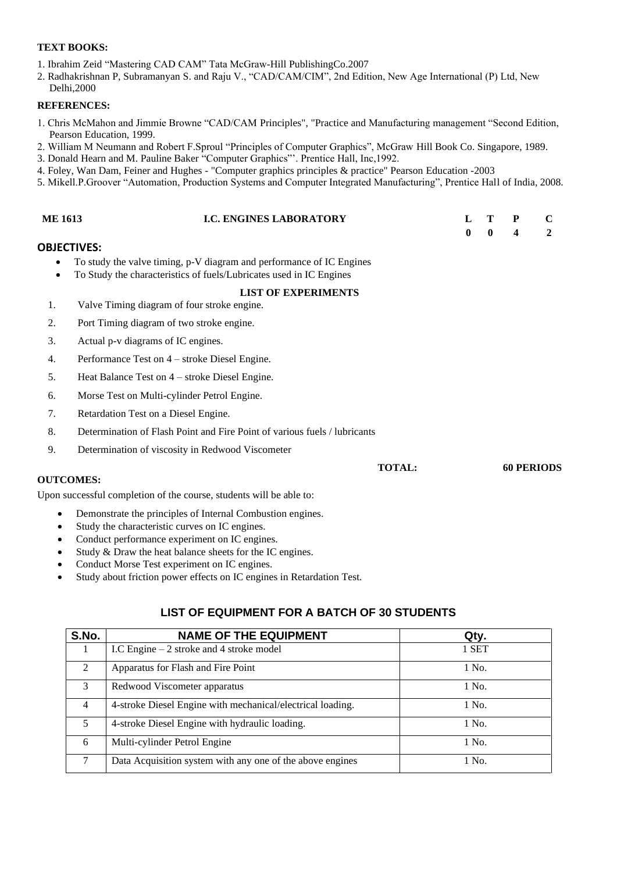- 1. Ibrahim Zeid "Mastering CAD CAM" Tata McGraw-Hill PublishingCo.2007
- 2. Radhakrishnan P, Subramanyan S. and Raju V., "CAD/CAM/CIM", 2nd Edition, New Age International (P) Ltd, New Delhi,2000

#### **REFERENCES:**

- 1. Chris McMahon and Jimmie Browne "CAD/CAM Principles", "Practice and Manufacturing management "Second Edition, Pearson Education, 1999.
- 2. William M Neumann and Robert F.Sproul "Principles of Computer Graphics", McGraw Hill Book Co. Singapore, 1989.
- 3. Donald Hearn and M. Pauline Baker "Computer Graphics"'. Prentice Hall, Inc,1992.
- 4. Foley, Wan Dam, Feiner and Hughes "Computer graphics principles & practice" Pearson Education -2003
- 5. Mikell.P.Groover "Automation, Production Systems and Computer Integrated Manufacturing", Prentice Hall of India, 2008.

| <b>ME 1613</b>     | <b>I.C. ENGINES LABORATORY</b>                                                                                                              |               | L<br>$\boldsymbol{0}$ | Т<br>$\mathbf{0}$ | P<br>4            | $\mathbf C$<br>$\overline{2}$ |
|--------------------|---------------------------------------------------------------------------------------------------------------------------------------------|---------------|-----------------------|-------------------|-------------------|-------------------------------|
| <b>OBJECTIVES:</b> |                                                                                                                                             |               |                       |                   |                   |                               |
| ٠<br>$\bullet$     | To study the valve timing, p-V diagram and performance of IC Engines<br>To Study the characteristics of fuels/Lubricates used in IC Engines |               |                       |                   |                   |                               |
|                    | <b>LIST OF EXPERIMENTS</b>                                                                                                                  |               |                       |                   |                   |                               |
| 1.                 | Valve Timing diagram of four stroke engine.                                                                                                 |               |                       |                   |                   |                               |
| 2.                 | Port Timing diagram of two stroke engine.                                                                                                   |               |                       |                   |                   |                               |
| 3.                 | Actual p-v diagrams of IC engines.                                                                                                          |               |                       |                   |                   |                               |
| 4.                 | Performance Test on 4 – stroke Diesel Engine.                                                                                               |               |                       |                   |                   |                               |
| 5.                 | Heat Balance Test on 4 – stroke Diesel Engine.                                                                                              |               |                       |                   |                   |                               |
| 6.                 | Morse Test on Multi-cylinder Petrol Engine.                                                                                                 |               |                       |                   |                   |                               |
| 7.                 | Retardation Test on a Diesel Engine.                                                                                                        |               |                       |                   |                   |                               |
| 8.                 | Determination of Flash Point and Fire Point of various fuels / lubricants                                                                   |               |                       |                   |                   |                               |
| 9.                 | Determination of viscosity in Redwood Viscometer                                                                                            |               |                       |                   |                   |                               |
|                    |                                                                                                                                             | <b>TOTAL:</b> |                       |                   | <b>60 PERIODS</b> |                               |
| <b>OUTCOMES:</b>   |                                                                                                                                             |               |                       |                   |                   |                               |
|                    | Upon successful completion of the course, students will be able to:                                                                         |               |                       |                   |                   |                               |
| $\bullet$          | Demonstrate the principles of Internal Combustion engines.                                                                                  |               |                       |                   |                   |                               |
| $\bullet$          | Study the characteristic curves on IC engines.                                                                                              |               |                       |                   |                   |                               |
| $\bullet$          | Conduct performance experiment on IC engines.                                                                                               |               |                       |                   |                   |                               |
| $\bullet$          | Study & Draw the heat balance sheets for the IC engines.                                                                                    |               |                       |                   |                   |                               |
| $\bullet$          | Conduct Morse Test experiment on IC engines.                                                                                                |               |                       |                   |                   |                               |
| $\bullet$          | Study about friction power effects on IC engines in Retardation Test.                                                                       |               |                       |                   |                   |                               |

### **LIST OF EQUIPMENT FOR A BATCH OF 30 STUDENTS**

| S.No.          | <b>NAME OF THE EQUIPMENT</b>                               | Qty.  |
|----------------|------------------------------------------------------------|-------|
|                | I.C Engine $-2$ stroke and 4 stroke model                  | 1 SET |
| $\mathfrak{D}$ | Apparatus for Flash and Fire Point                         | 1 No. |
| 3              | Redwood Viscometer apparatus                               | 1 No. |
| 4              | 4-stroke Diesel Engine with mechanical/electrical loading. | 1 No. |
| 5              | 4-stroke Diesel Engine with hydraulic loading.             | 1 No. |
| 6              | Multi-cylinder Petrol Engine                               | 1 No. |
| 7              | Data Acquisition system with any one of the above engines  | 1 No. |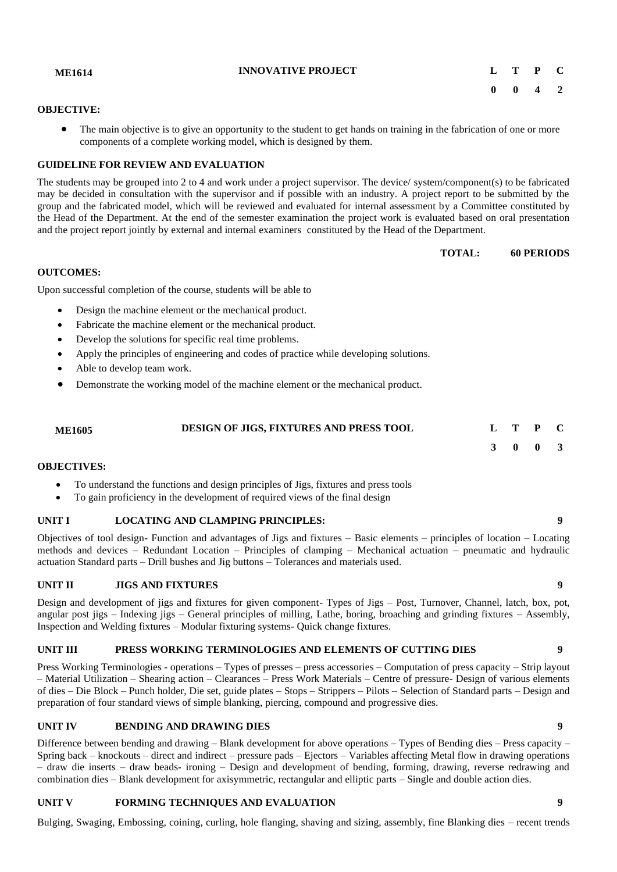Bulging, Swaging, Embossing, coining, curling, hole flanging, shaving and sizing, assembly, fine Blanking dies – recent trends

#### **OBJECTIVE:**

• The main objective is to give an opportunity to the student to get hands on training in the fabrication of one or more components of a complete working model, which is designed by them.

#### **GUIDELINE FOR REVIEW AND EVALUATION**

The students may be grouped into 2 to 4 and work under a project supervisor. The device/ system/component(s) to be fabricated may be decided in consultation with the supervisor and if possible with an industry. A project report to be submitted by the group and the fabricated model, which will be reviewed and evaluated for internal assessment by a Committee constituted by the Head of the Department. At the end of the semester examination the project work is evaluated based on oral presentation and the project report jointly by external and internal examiners constituted by the Head of the Department.

**OUTCOMES:**

Upon successful completion of the course, students will be able to

- Design the machine element or the mechanical product.
- Fabricate the machine element or the mechanical product.
- Develop the solutions for specific real time problems.
- Apply the principles of engineering and codes of practice while developing solutions.
- Able to develop team work.
- Demonstrate the working model of the machine element or the mechanical product.

### **ME1605 DESIGN OF JIGS, FIXTURES AND PRESS TOOL L T P C**

#### **3 0 0 3**

#### **OBJECTIVES:**

- To understand the functions and design principles of Jigs, fixtures and press tools
- To gain proficiency in the development of required views of the final design

#### **UNIT I LOCATING AND CLAMPING PRINCIPLES: 9**

Objectives of tool design- Function and advantages of Jigs and fixtures – Basic elements – principles of location – Locating methods and devices – Redundant Location – Principles of clamping – Mechanical actuation – pneumatic and hydraulic actuation Standard parts – Drill bushes and Jig buttons – Tolerances and materials used.

#### **UNIT II JIGS AND FIXTURES 9**

Design and development of jigs and fixtures for given component- Types of Jigs – Post, Turnover, Channel, latch, box, pot, angular post jigs – Indexing jigs – General principles of milling, Lathe, boring, broaching and grinding fixtures – Assembly, Inspection and Welding fixtures – Modular fixturing systems- Quick change fixtures.

#### **UNIT III PRESS WORKING TERMINOLOGIES AND ELEMENTS OF CUTTING DIES 9**

Press Working Terminologies - operations – Types of presses – press accessories – Computation of press capacity – Strip layout – Material Utilization – Shearing action – Clearances – Press Work Materials – Centre of pressure- Design of various elements of dies – Die Block – Punch holder, Die set, guide plates – Stops – Strippers – Pilots – Selection of Standard parts – Design and preparation of four standard views of simple blanking, piercing, compound and progressive dies.

#### **UNIT IV BENDING AND DRAWING DIES 9**

Difference between bending and drawing – Blank development for above operations – Types of Bending dies – Press capacity – Spring back – knockouts – direct and indirect – pressure pads – Ejectors – Variables affecting Metal flow in drawing operations – draw die inserts – draw beads- ironing – Design and development of bending, forming, drawing, reverse redrawing and combination dies – Blank development for axisymmetric, rectangular and elliptic parts – Single and double action dies.

## **UNIT V FORMING TECHNIQUES AND EVALUATION 9**

**ME1614 INNOVATIVE PROJECT L T P C 0 0 4 2**

**TOTAL: 60 PERIODS**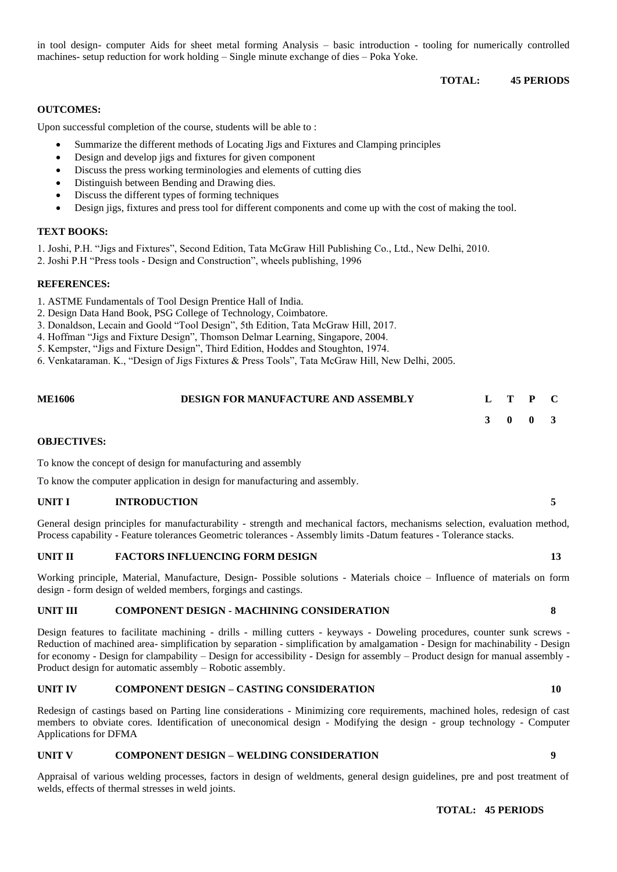in tool design- computer Aids for sheet metal forming Analysis – basic introduction - tooling for numerically controlled machines- setup reduction for work holding – Single minute exchange of dies – Poka Yoke.

#### **TOTAL: 45 PERIODS**

#### **OUTCOMES:**

Upon successful completion of the course, students will be able to :

- Summarize the different methods of Locating Jigs and Fixtures and Clamping principles
- Design and develop jigs and fixtures for given component
- Discuss the press working terminologies and elements of cutting dies
- Distinguish between Bending and Drawing dies.
- Discuss the different types of forming techniques
- Design jigs, fixtures and press tool for different components and come up with the cost of making the tool.

#### **TEXT BOOKS:**

1. Joshi, P.H. "Jigs and Fixtures", Second Edition, Tata McGraw Hill Publishing Co., Ltd., New Delhi, 2010.

2. Joshi P.H "Press tools - Design and Construction", wheels publishing, 1996

#### **REFERENCES:**

- 1. ASTME Fundamentals of Tool Design Prentice Hall of India.
- 2. Design Data Hand Book, PSG College of Technology, Coimbatore.
- 3. Donaldson, Lecain and Goold "Tool Design", 5th Edition, Tata McGraw Hill, 2017.
- 4. Hoffman "Jigs and Fixture Design", Thomson Delmar Learning, Singapore, 2004.
- 5. Kempster, "Jigs and Fixture Design", Third Edition, Hoddes and Stoughton, 1974.
- 6. Venkataraman. K., "Design of Jigs Fixtures & Press Tools", Tata McGraw Hill, New Delhi, 2005.

| <b>ME1606</b> | <b>DESIGN FOR MANUFACTURE AND ASSEMBLY</b> | L T P C |  |
|---------------|--------------------------------------------|---------|--|
|               |                                            | 3 0 0 3 |  |

#### **OBJECTIVES:**

To know the concept of design for manufacturing and assembly

To know the computer application in design for manufacturing and assembly.

#### **UNIT I INTRODUCTION 5**

General design principles for manufacturability - strength and mechanical factors, mechanisms selection, evaluation method, Process capability - Feature tolerances Geometric tolerances - Assembly limits -Datum features - Tolerance stacks.

#### **UNIT II FACTORS INFLUENCING FORM DESIGN 13**

Working principle, Material, Manufacture, Design- Possible solutions - Materials choice – Influence of materials on form design - form design of welded members, forgings and castings.

#### **UNIT III COMPONENT DESIGN - MACHINING CONSIDERATION 8**

Design features to facilitate machining - drills - milling cutters - keyways - Doweling procedures, counter sunk screws - Reduction of machined area- simplification by separation - simplification by amalgamation - Design for machinability - Design for economy - Design for clampability – Design for accessibility - Design for assembly – Product design for manual assembly - Product design for automatic assembly – Robotic assembly.

#### **UNIT IV COMPONENT DESIGN – CASTING CONSIDERATION 10**

Redesign of castings based on Parting line considerations - Minimizing core requirements, machined holes, redesign of cast members to obviate cores. Identification of uneconomical design - Modifying the design - group technology - Computer Applications for DFMA

#### **UNIT V COMPONENT DESIGN – WELDING CONSIDERATION 9**

Appraisal of various welding processes, factors in design of weldments, general design guidelines, pre and post treatment of welds, effects of thermal stresses in weld joints.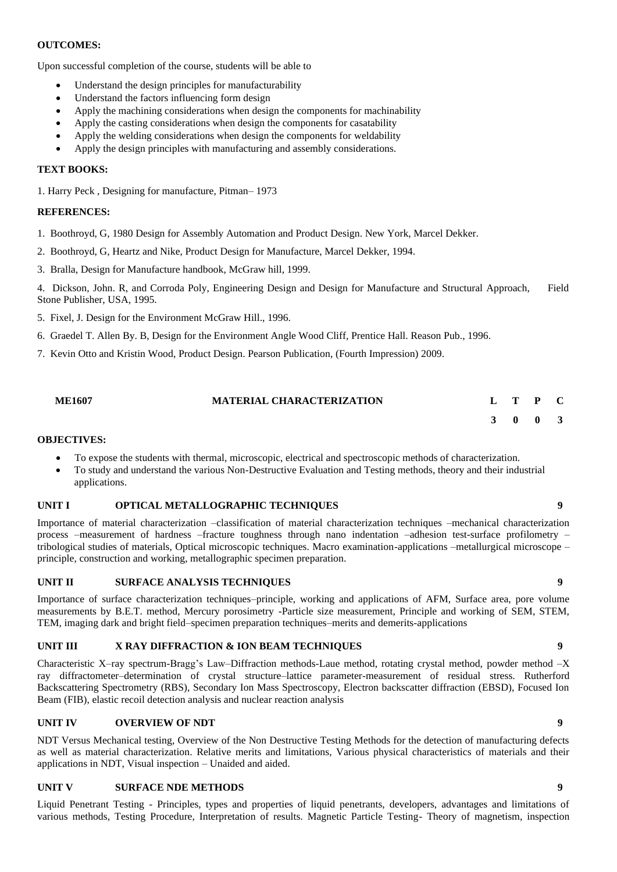#### **OUTCOMES:**

Upon successful completion of the course, students will be able to

- Understand the design principles for manufacturability
- Understand the factors influencing form design
- Apply the machining considerations when design the components for machinability
- Apply the casting considerations when design the components for casatability
- Apply the welding considerations when design the components for weldability
- Apply the design principles with manufacturing and assembly considerations.

#### **TEXT BOOKS:**

1. Harry Peck , Designing for manufacture, Pitman– 1973

#### **REFERENCES:**

- 1. Boothroyd, G, 1980 Design for Assembly Automation and Product Design. New York, Marcel Dekker.
- 2. Boothroyd, G, Heartz and Nike, Product Design for Manufacture, Marcel Dekker, 1994.

3. Bralla, Design for Manufacture handbook, McGraw hill, 1999.

4. Dickson, John. R, and Corroda Poly, Engineering Design and Design for Manufacture and Structural Approach, Field Stone Publisher, USA, 1995.

- 5. Fixel, J. Design for the Environment McGraw Hill., 1996.
- 6. Graedel T. Allen By. B, Design for the Environment Angle Wood Cliff, Prentice Hall. Reason Pub., 1996.
- 7. Kevin Otto and Kristin Wood, Product Design. Pearson Publication, (Fourth Impression) 2009.

| <b>ME1607</b> | <b>MATERIAL CHARACTERIZATION</b> | L T P C |  |
|---------------|----------------------------------|---------|--|
|               |                                  | 3 0 0 3 |  |

#### **OBJECTIVES:**

- To expose the students with thermal, microscopic, electrical and spectroscopic methods of characterization.
- To study and understand the various Non-Destructive Evaluation and Testing methods, theory and their industrial applications.

#### **UNIT I OPTICAL METALLOGRAPHIC TECHNIQUES 9**

Importance of material characterization –classification of material characterization techniques –mechanical characterization process –measurement of hardness –fracture toughness through nano indentation –adhesion test-surface profilometry – tribological studies of materials, Optical microscopic techniques. Macro examination-applications –metallurgical microscope – principle, construction and working, metallographic specimen preparation.

#### **UNIT II SURFACE ANALYSIS TECHNIQUES 9**

Importance of surface characterization techniques–principle, working and applications of AFM, Surface area, pore volume measurements by B.E.T. method, Mercury porosimetry -Particle size measurement, Principle and working of SEM, STEM, TEM, imaging dark and bright field–specimen preparation techniques–merits and demerits-applications

#### **UNIT III X RAY DIFFRACTION & ION BEAM TECHNIQUES 9**

Characteristic X–ray spectrum-Bragg's Law–Diffraction methods-Laue method, rotating crystal method, powder method –X ray diffractometer–determination of crystal structure–lattice parameter-measurement of residual stress. Rutherford Backscattering Spectrometry (RBS), Secondary Ion Mass Spectroscopy, Electron backscatter diffraction (EBSD), Focused Ion Beam (FIB), elastic recoil detection analysis and nuclear reaction analysis

#### **UNIT IV OVERVIEW OF NDT 9**

NDT Versus Mechanical testing, Overview of the Non Destructive Testing Methods for the detection of manufacturing defects as well as material characterization. Relative merits and limitations, Various physical characteristics of materials and their applications in NDT, Visual inspection – Unaided and aided.

#### **UNIT V SURFACE NDE METHODS 9**

Liquid Penetrant Testing - Principles, types and properties of liquid penetrants, developers, advantages and limitations of various methods, Testing Procedure, Interpretation of results. Magnetic Particle Testing- Theory of magnetism, inspection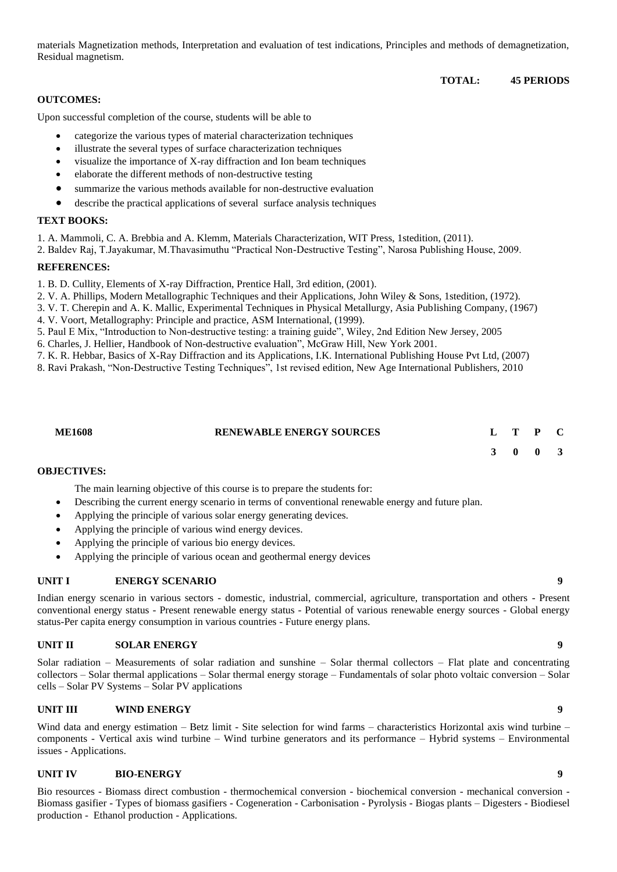materials Magnetization methods, Interpretation and evaluation of test indications, Principles and methods of demagnetization, Residual magnetism.

#### **TOTAL: 45 PERIODS**

#### **OUTCOMES:**

Upon successful completion of the course, students will be able to

- categorize the various types of material characterization techniques
- illustrate the several types of surface characterization techniques
- visualize the importance of X-ray diffraction and Ion beam techniques
- elaborate the different methods of non-destructive testing
- summarize the various methods available for non-destructive evaluation
- describe the practical applications of several surface analysis techniques

#### **TEXT BOOKS:**

1. A. Mammoli, C. A. Brebbia and A. Klemm, Materials Characterization, WIT Press, 1stedition, (2011).

2. Baldev Raj, T.Jayakumar, M.Thavasimuthu "Practical Non-Destructive Testing", Narosa Publishing House, 2009.

#### **REFERENCES:**

1. B. D. Cullity, Elements of X-ray Diffraction, Prentice Hall, 3rd edition, (2001).

2. V. A. Phillips, Modern Metallographic Techniques and their Applications, John Wiley & Sons, 1stedition, (1972).

- 3. V. T. Cherepin and A. K. Mallic, Experimental Techniques in Physical Metallurgy, Asia Publishing Company, (1967)
- 4. V. Voort, Metallography: Principle and practice, ASM International, (1999).

5. Paul E Mix, "Introduction to Non-destructive testing: a training guide", Wiley, 2nd Edition New Jersey, 2005

- 6. Charles, J. Hellier, Handbook of Non-destructive evaluation", McGraw Hill, New York 2001.
- 7. K. R. Hebbar, Basics of X-Ray Diffraction and its Applications, I.K. International Publishing House Pvt Ltd, (2007)

8. Ravi Prakash, "Non-Destructive Testing Techniques", 1st revised edition, New Age International Publishers, 2010

| <b>ME1608</b> | <b>RENEWABLE ENERGY SOURCES</b> |  |  |
|---------------|---------------------------------|--|--|
|               |                                 |  |  |

**3 0 0 3**

#### **OBJECTIVES:**

The main learning objective of this course is to prepare the students for:

- Describing the current energy scenario in terms of conventional renewable energy and future plan.
- Applying the principle of various solar energy generating devices.
- Applying the principle of various wind energy devices.
- Applying the principle of various bio energy devices.
- Applying the principle of various ocean and geothermal energy devices

#### **UNIT I ENERGY SCENARIO 9**

Indian energy scenario in various sectors - domestic, industrial, commercial, agriculture, transportation and others - Present conventional energy status - Present renewable energy status - Potential of various renewable energy sources - Global energy status-Per capita energy consumption in various countries - Future energy plans.

#### **UNIT II SOLAR ENERGY 9**

Solar radiation – Measurements of solar radiation and sunshine – Solar thermal collectors – Flat plate and concentrating collectors – Solar thermal applications – Solar thermal energy storage – Fundamentals of solar photo voltaic conversion – Solar cells – Solar PV Systems – Solar PV applications

#### **UNIT III WIND ENERGY 9**

Wind data and energy estimation – Betz limit - Site selection for wind farms – characteristics Horizontal axis wind turbine – components - Vertical axis wind turbine – Wind turbine generators and its performance – Hybrid systems – Environmental issues - Applications.

#### **UNIT IV BIO-ENERGY 9**

Bio resources - Biomass direct combustion - thermochemical conversion - biochemical conversion - mechanical conversion - Biomass gasifier - Types of biomass gasifiers - Cogeneration - Carbonisation - Pyrolysis - Biogas plants – Digesters - Biodiesel production - Ethanol production - Applications.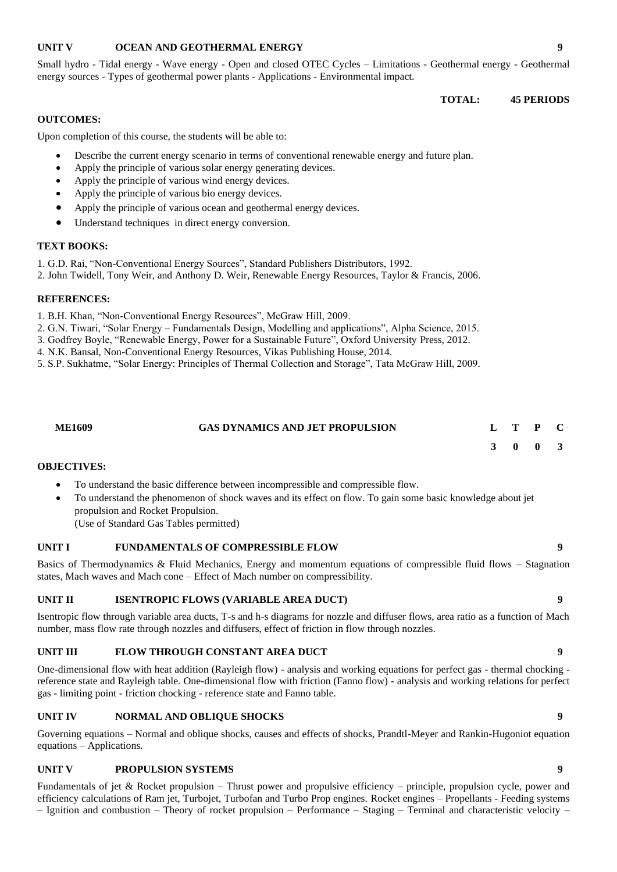#### **UNIT V OCEAN AND GEOTHERMAL ENERGY 9**

Small hydro - Tidal energy - Wave energy - Open and closed OTEC Cycles – Limitations - Geothermal energy - Geothermal energy sources - Types of geothermal power plants - Applications - Environmental impact.

**TOTAL: 45 PERIODS**

#### **OUTCOMES:**

Upon completion of this course, the students will be able to:

- Describe the current energy scenario in terms of conventional renewable energy and future plan.
- Apply the principle of various solar energy generating devices.
- Apply the principle of various wind energy devices.
- Apply the principle of various bio energy devices.
- Apply the principle of various ocean and geothermal energy devices.
- Understand techniques in direct energy conversion.

#### **TEXT BOOKS:**

1. G.D. Rai, "Non-Conventional Energy Sources", Standard Publishers Distributors, 1992.

2. John Twidell, Tony Weir, and Anthony D. Weir, Renewable Energy Resources, Taylor & Francis, 2006.

#### **REFERENCES:**

1. B.H. Khan, "Non-Conventional Energy Resources", McGraw Hill, 2009.

2. G.N. Tiwari, "Solar Energy – Fundamentals Design, Modelling and applications", Alpha Science, 2015.

3. Godfrey Boyle, "Renewable Energy, Power for a Sustainable Future", Oxford University Press, 2012.

4. N.K. Bansal, Non-Conventional Energy Resources, Vikas Publishing House, 2014.

5. S.P. Sukhatme, "Solar Energy: Principles of Thermal Collection and Storage", Tata McGraw Hill, 2009.

| <b>ME1609</b> | <b>GAS DYNAMICS AND JET PROPULSION</b> |  |  |
|---------------|----------------------------------------|--|--|

**3 0 0 3**

#### **OBJECTIVES:**

- To understand the basic difference between incompressible and compressible flow.
- To understand the phenomenon of shock waves and its effect on flow. To gain some basic knowledge about jet propulsion and Rocket Propulsion. (Use of Standard Gas Tables permitted)

#### **UNIT I FUNDAMENTALS OF COMPRESSIBLE FLOW 9**

Basics of Thermodynamics & Fluid Mechanics, Energy and momentum equations of compressible fluid flows – Stagnation states, Mach waves and Mach cone – Effect of Mach number on compressibility.

#### **UNIT II ISENTROPIC FLOWS (VARIABLE AREA DUCT) 9**

Isentropic flow through variable area ducts, T-s and h-s diagrams for nozzle and diffuser flows, area ratio as a function of Mach number, mass flow rate through nozzles and diffusers, effect of friction in flow through nozzles.

#### **UNIT III FLOW THROUGH CONSTANT AREA DUCT 9**

One-dimensional flow with heat addition (Rayleigh flow) - analysis and working equations for perfect gas - thermal chocking reference state and Rayleigh table. One-dimensional flow with friction (Fanno flow) - analysis and working relations for perfect gas - limiting point - friction chocking - reference state and Fanno table.

#### **UNIT IV NORMAL AND OBLIQUE SHOCKS 9**

Governing equations – Normal and oblique shocks, causes and effects of shocks, Prandtl-Meyer and Rankin-Hugoniot equation equations – Applications.

#### **UNIT V PROPULSION SYSTEMS 9**

Fundamentals of jet & Rocket propulsion – Thrust power and propulsive efficiency – principle, propulsion cycle, power and efficiency calculations of Ram jet, Turbojet, Turbofan and Turbo Prop engines. Rocket engines – Propellants - Feeding systems – Ignition and combustion – Theory of rocket propulsion – Performance – Staging – Terminal and characteristic velocity –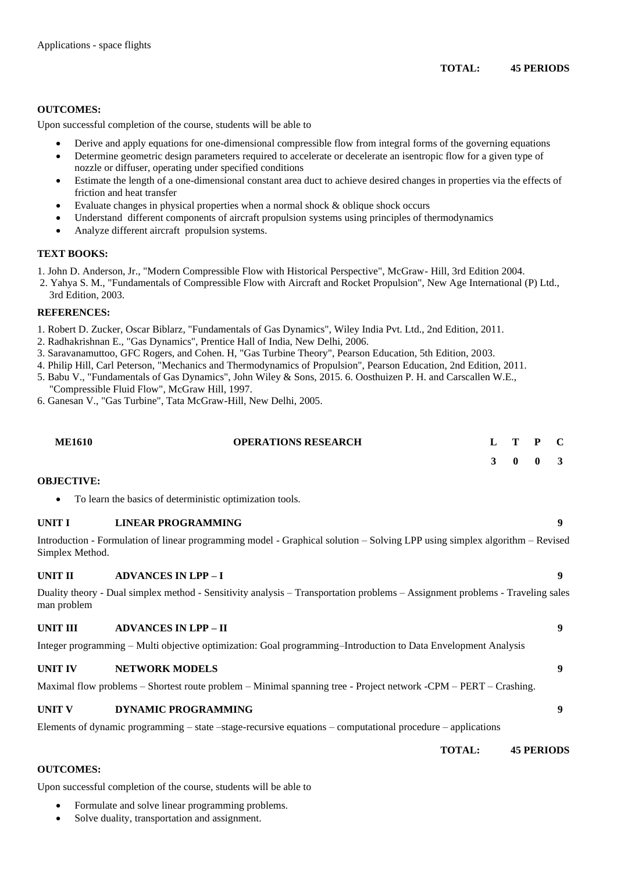#### **OUTCOMES:**

Upon successful completion of the course, students will be able to

- Derive and apply equations for one-dimensional compressible flow from integral forms of the governing equations
- Determine geometric design parameters required to accelerate or decelerate an isentropic flow for a given type of nozzle or diffuser, operating under specified conditions
- Estimate the length of a one-dimensional constant area duct to achieve desired changes in properties via the effects of friction and heat transfer
- Evaluate changes in physical properties when a normal shock & oblique shock occurs
- Understand different components of aircraft propulsion systems using principles of thermodynamics
- Analyze different aircraft propulsion systems.

#### **TEXT BOOKS:**

1. John D. Anderson, Jr., "Modern Compressible Flow with Historical Perspective", McGraw- Hill, 3rd Edition 2004.

2. Yahya S. M., "Fundamentals of Compressible Flow with Aircraft and Rocket Propulsion", New Age International (P) Ltd., 3rd Edition, 2003.

#### **REFERENCES:**

- 1. Robert D. Zucker, Oscar Biblarz, "Fundamentals of Gas Dynamics", Wiley India Pvt. Ltd., 2nd Edition, 2011.
- 2. Radhakrishnan E., "Gas Dynamics", Prentice Hall of India, New Delhi, 2006.
- 3. Saravanamuttoo, GFC Rogers, and Cohen. H, "Gas Turbine Theory", Pearson Education, 5th Edition, 2003.
- 4. Philip Hill, Carl Peterson, "Mechanics and Thermodynamics of Propulsion", Pearson Education, 2nd Edition, 2011.
- 5. Babu V., "Fundamentals of Gas Dynamics", John Wiley & Sons, 2015. 6. Oosthuizen P. H. and Carscallen W.E., "Compressible Fluid Flow", McGraw Hill, 1997.
- 6. Ganesan V., "Gas Turbine", Tata McGraw-Hill, New Delhi, 2005.

| <b>ME1610</b>     | <b>OPERATIONS RESEARCH</b>                                                                                                    |   |              | P            |   |
|-------------------|-------------------------------------------------------------------------------------------------------------------------------|---|--------------|--------------|---|
|                   |                                                                                                                               | 3 | $\mathbf{0}$ | $\mathbf{0}$ | 3 |
| <b>OBJECTIVE:</b> |                                                                                                                               |   |              |              |   |
| $\bullet$         | To learn the basics of deterministic optimization tools.                                                                      |   |              |              |   |
| UNIT I            | <b>LINEAR PROGRAMMING</b>                                                                                                     |   |              |              | 9 |
| Simplex Method.   | Introduction - Formulation of linear programming model - Graphical solution - Solving LPP using simplex algorithm - Revised   |   |              |              |   |
| UNIT II           | <b>ADVANCES IN LPP-I</b>                                                                                                      |   |              |              | 9 |
| man problem       | Duality theory - Dual simplex method - Sensitivity analysis - Transportation problems - Assignment problems - Traveling sales |   |              |              |   |
| UNIT III          | <b>ADVANCES IN LPP - II</b>                                                                                                   |   |              |              | 9 |
|                   | Integer programming – Multi objective optimization: Goal programming–Introduction to Data Envelopment Analysis                |   |              |              |   |
| <b>UNIT IV</b>    | <b>NETWORK MODELS</b>                                                                                                         |   |              |              | 9 |

Maximal flow problems – Shortest route problem – Minimal spanning tree - Project network -CPM – PERT – Crashing.

#### **UNIT V DYNAMIC PROGRAMMING 9**

Elements of dynamic programming – state –stage-recursive equations – computational procedure – applications

**TOTAL: 45 PERIODS**

#### **OUTCOMES:**

Upon successful completion of the course, students will be able to

- Formulate and solve linear programming problems.
- Solve duality, transportation and assignment.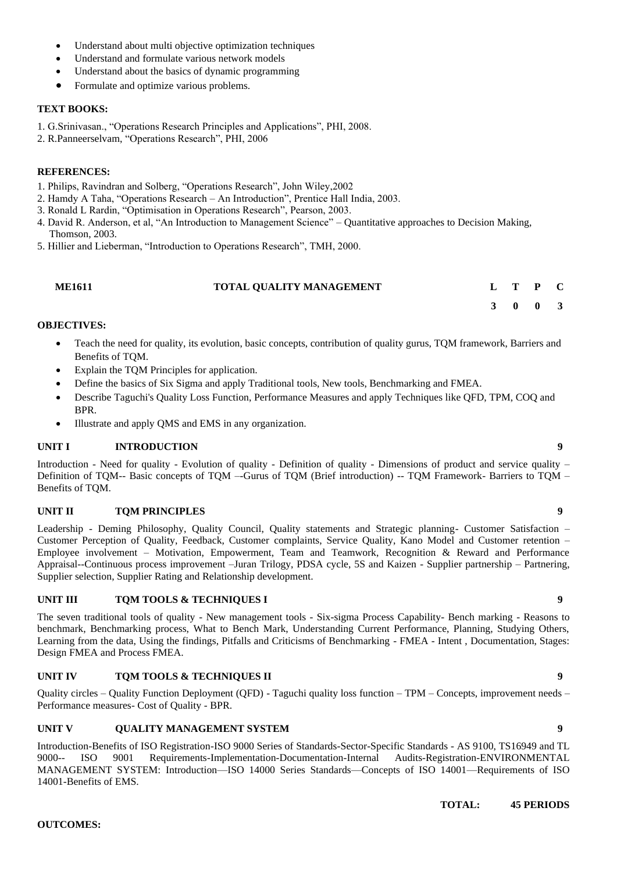- Understand about multi objective optimization techniques
- Understand and formulate various network models
- Understand about the basics of dynamic programming
- Formulate and optimize various problems.

- 1. G.Srinivasan., "Operations Research Principles and Applications", PHI, 2008.
- 2. R.Panneerselvam, "Operations Research", PHI, 2006

#### **REFERENCES:**

- 1. Philips, Ravindran and Solberg, "Operations Research", John Wiley,2002
- 2. Hamdy A Taha, "Operations Research An Introduction", Prentice Hall India, 2003.
- 3. Ronald L Rardin, "Optimisation in Operations Research", Pearson, 2003.
- 4. David R. Anderson, et al, "An Introduction to Management Science" Quantitative approaches to Decision Making, Thomson, 2003.
- 5. Hillier and Lieberman, "Introduction to Operations Research", TMH, 2000.

| <b>ME1611</b> | TOTAL QUALITY MANAGEMENT |  | L T P C |  |
|---------------|--------------------------|--|---------|--|
|               |                          |  |         |  |

#### **OBJECTIVES:**

- Teach the need for quality, its evolution, basic concepts, contribution of quality gurus, TQM framework, Barriers and Benefits of TQM.
- Explain the TQM Principles for application.
- Define the basics of Six Sigma and apply Traditional tools, New tools, Benchmarking and FMEA.
- Describe Taguchi's Quality Loss Function, Performance Measures and apply Techniques like QFD, TPM, COQ and BPR.
- Illustrate and apply QMS and EMS in any organization.

### **UNIT I INTRODUCTION 9**

Introduction - Need for quality - Evolution of quality - Definition of quality - Dimensions of product and service quality – Definition of TQM-- Basic concepts of TQM –-Gurus of TQM (Brief introduction) -- TQM Framework- Barriers to TQM – Benefits of TQM.

#### **UNIT II TOM PRINCIPLES 9**

Leadership - Deming Philosophy, Quality Council, Quality statements and Strategic planning- Customer Satisfaction – Customer Perception of Quality, Feedback, Customer complaints, Service Quality, Kano Model and Customer retention – Employee involvement – Motivation, Empowerment, Team and Teamwork, Recognition & Reward and Performance Appraisal--Continuous process improvement –Juran Trilogy, PDSA cycle, 5S and Kaizen - Supplier partnership – Partnering, Supplier selection, Supplier Rating and Relationship development.

### **UNIT III TOM TOOLS & TECHNIQUES I 9**

The seven traditional tools of quality - New management tools - Six-sigma Process Capability- Bench marking - Reasons to benchmark, Benchmarking process, What to Bench Mark, Understanding Current Performance, Planning, Studying Others, Learning from the data, Using the findings, Pitfalls and Criticisms of Benchmarking - FMEA - Intent , Documentation, Stages: Design FMEA and Process FMEA.

### **UNIT IV TQM TOOLS & TECHNIQUES II 9**

Quality circles – Quality Function Deployment (QFD) - Taguchi quality loss function – TPM – Concepts, improvement needs – Performance measures- Cost of Quality - BPR.

#### **UNIT V QUALITY MANAGEMENT SYSTEM 9**

Introduction-Benefits of ISO Registration-ISO 9000 Series of Standards-Sector-Specific Standards - AS 9100, TS16949 and TL 9000-- ISO 9001 Requirements-Implementation-Documentation-Internal Audits-Registration-ENVIRONMENTAL MANAGEMENT SYSTEM: Introduction—ISO 14000 Series Standards—Concepts of ISO 14001—Requirements of ISO 14001-Benefits of EMS.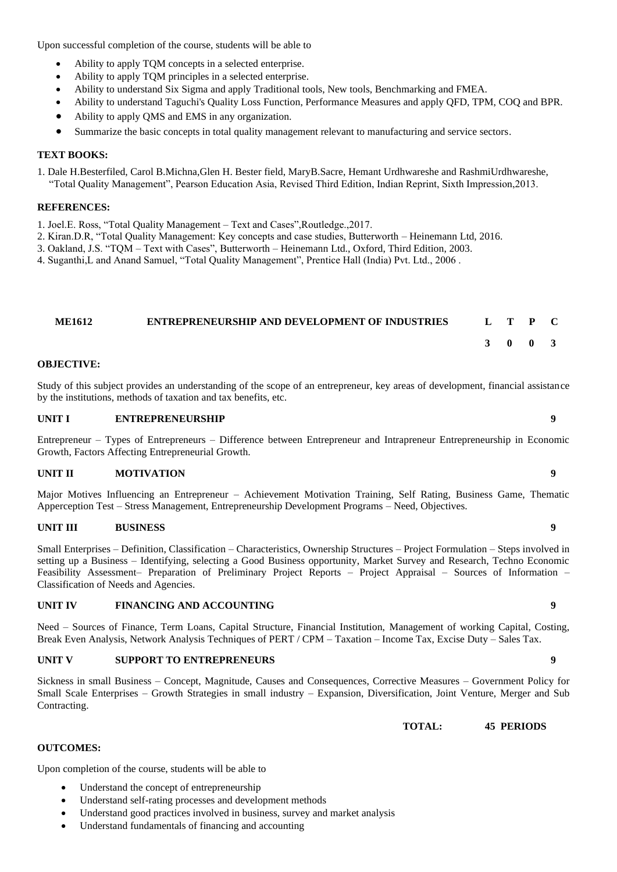Upon successful completion of the course, students will be able to

- Ability to apply TQM concepts in a selected enterprise.
- Ability to apply TQM principles in a selected enterprise.
- Ability to understand Six Sigma and apply Traditional tools, New tools, Benchmarking and FMEA.
- Ability to understand Taguchi's Quality Loss Function, Performance Measures and apply QFD, TPM, COQ and BPR.
- Ability to apply QMS and EMS in any organization.
- Summarize the basic concepts in total quality management relevant to manufacturing and service sectors.

### **TEXT BOOKS:**

1. Dale H.Besterfiled, Carol B.Michna,Glen H. Bester field, MaryB.Sacre, Hemant Urdhwareshe and RashmiUrdhwareshe, "Total Quality Management", Pearson Education Asia, Revised Third Edition, Indian Reprint, Sixth Impression,2013.

#### **REFERENCES:**

- 1. Joel.E. Ross, "Total Quality Management Text and Cases",Routledge.,2017.
- 2. Kiran.D.R, "Total Quality Management: Key concepts and case studies, Butterworth Heinemann Ltd, 2016.
- 3. Oakland, J.S. "TQM Text with Cases", Butterworth Heinemann Ltd., Oxford, Third Edition, 2003.
- 4. Suganthi,L and Anand Samuel, "Total Quality Management", Prentice Hall (India) Pvt. Ltd., 2006 .

#### **ME1612 ENTREPRENEURSHIP AND DEVELOPMENT OF INDUSTRIES L T P C**

### **3 0 0 3**

#### **OBJECTIVE:**

Study of this subject provides an understanding of the scope of an entrepreneur, key areas of development, financial assistance by the institutions, methods of taxation and tax benefits, etc.

#### **UNIT I ENTREPRENEURSHIP 9**

Entrepreneur – Types of Entrepreneurs – Difference between Entrepreneur and Intrapreneur Entrepreneurship in Economic Growth, Factors Affecting Entrepreneurial Growth.

### **UNIT II MOTIVATION 9**

Major Motives Influencing an Entrepreneur – Achievement Motivation Training, Self Rating, Business Game, Thematic Apperception Test – Stress Management, Entrepreneurship Development Programs – Need, Objectives.

#### **UNIT III BUSINESS 9**

Small Enterprises – Definition, Classification – Characteristics, Ownership Structures – Project Formulation – Steps involved in setting up a Business – Identifying, selecting a Good Business opportunity, Market Survey and Research, Techno Economic Feasibility Assessment– Preparation of Preliminary Project Reports – Project Appraisal – Sources of Information – Classification of Needs and Agencies.

#### **UNIT IV FINANCING AND ACCOUNTING 9**

Need – Sources of Finance, Term Loans, Capital Structure, Financial Institution, Management of working Capital, Costing, Break Even Analysis, Network Analysis Techniques of PERT / CPM – Taxation – Income Tax, Excise Duty – Sales Tax.

#### **UNIT V SUPPORT TO ENTREPRENEURS 9**

Sickness in small Business – Concept, Magnitude, Causes and Consequences, Corrective Measures – Government Policy for Small Scale Enterprises – Growth Strategies in small industry – Expansion, Diversification, Joint Venture, Merger and Sub Contracting.

 **TOTAL: 45 PERIODS**

#### **OUTCOMES:**

Upon completion of the course, students will be able to

- Understand the concept of entrepreneurship
- Understand self-rating processes and development methods
- Understand good practices involved in business, survey and market analysis
- Understand fundamentals of financing and accounting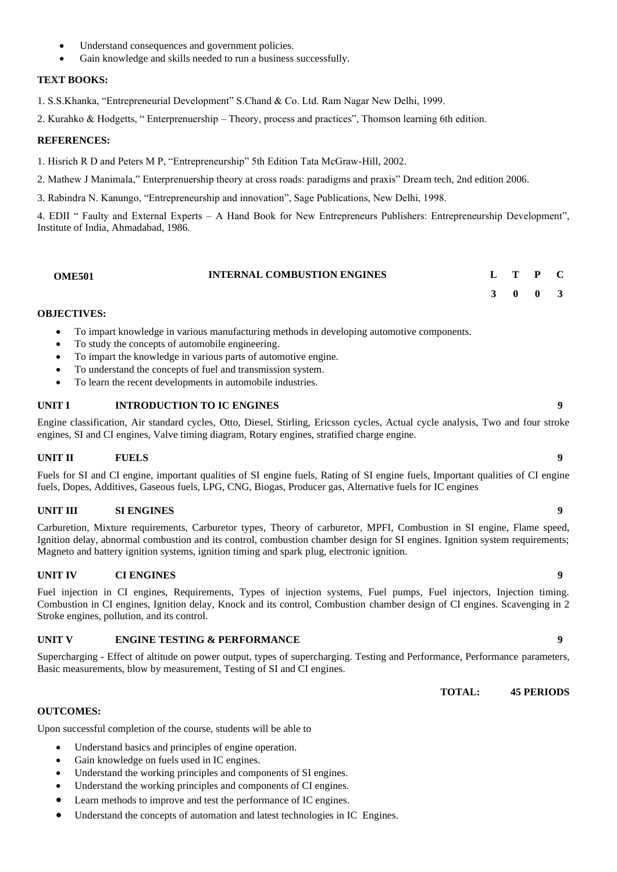- Understand consequences and government policies.
- Gain knowledge and skills needed to run a business successfully.

1. S.S.Khanka, "Entrepreneurial Development" S.Chand & Co. Ltd. Ram Nagar New Delhi, 1999.

2. Kurahko & Hodgetts, " Enterprenuership – Theory, process and practices", Thomson learning 6th edition.

#### **REFERENCES:**

1. Hisrich R D and Peters M P, "Entrepreneurship" 5th Edition Tata McGraw-Hill, 2002.

2. Mathew J Manimala," Enterprenuership theory at cross roads: paradigms and praxis" Dream tech, 2nd edition 2006.

3. Rabindra N. Kanungo, "Entrepreneurship and innovation", Sage Publications, New Delhi, 1998.

4. EDII " Faulty and External Experts – A Hand Book for New Entrepreneurs Publishers: Entrepreneurship Development", Institute of India, Ahmadabad, 1986.

| <b>OME501</b> | <b>INTERNAL COMBUSTION ENGINES</b> |  |  |  |  |
|---------------|------------------------------------|--|--|--|--|
|---------------|------------------------------------|--|--|--|--|

#### **OBJECTIVES:**

- To impart knowledge in various manufacturing methods in developing automotive components.
- To study the concepts of automobile engineering.
- To impart the knowledge in various parts of automotive engine.
- To understand the concepts of fuel and transmission system.
- To learn the recent developments in automobile industries.

### **UNIT I INTRODUCTION TO IC ENGINES 9**

Engine classification, Air standard cycles, Otto, Diesel, Stirling, Ericsson cycles, Actual cycle analysis, Two and four stroke engines, SI and CI engines, Valve timing diagram, Rotary engines, stratified charge engine.

#### **UNIT II FUELS 9**

Fuels for SI and CI engine, important qualities of SI engine fuels, Rating of SI engine fuels, Important qualities of CI engine fuels, Dopes, Additives, Gaseous fuels, LPG, CNG, Biogas, Producer gas, Alternative fuels for IC engines

#### **UNIT III SI ENGINES 9**

Carburetion, Mixture requirements, Carburetor types, Theory of carburetor, MPFI, Combustion in SI engine, Flame speed, Ignition delay, abnormal combustion and its control, combustion chamber design for SI engines. Ignition system requirements; Magneto and battery ignition systems, ignition timing and spark plug, electronic ignition.

#### **UNIT IV CI ENGINES 9**

Fuel injection in CI engines, Requirements, Types of injection systems, Fuel pumps, Fuel injectors, Injection timing. Combustion in CI engines, Ignition delay, Knock and its control, Combustion chamber design of CI engines. Scavenging in 2 Stroke engines, pollution, and its control.

#### **UNIT V ENGINE TESTING & PERFORMANCE 9**

Supercharging - Effect of altitude on power output, types of supercharging. Testing and Performance, Performance parameters, Basic measurements, blow by measurement, Testing of SI and CI engines.

**TOTAL: 45 PERIODS**

#### **OUTCOMES:**

Upon successful completion of the course, students will be able to

- Understand basics and principles of engine operation.
- Gain knowledge on fuels used in IC engines.
- Understand the working principles and components of SI engines.
- Understand the working principles and components of CI engines.
- Learn methods to improve and test the performance of IC engines.
- Understand the concepts of automation and latest technologies in IC Engines.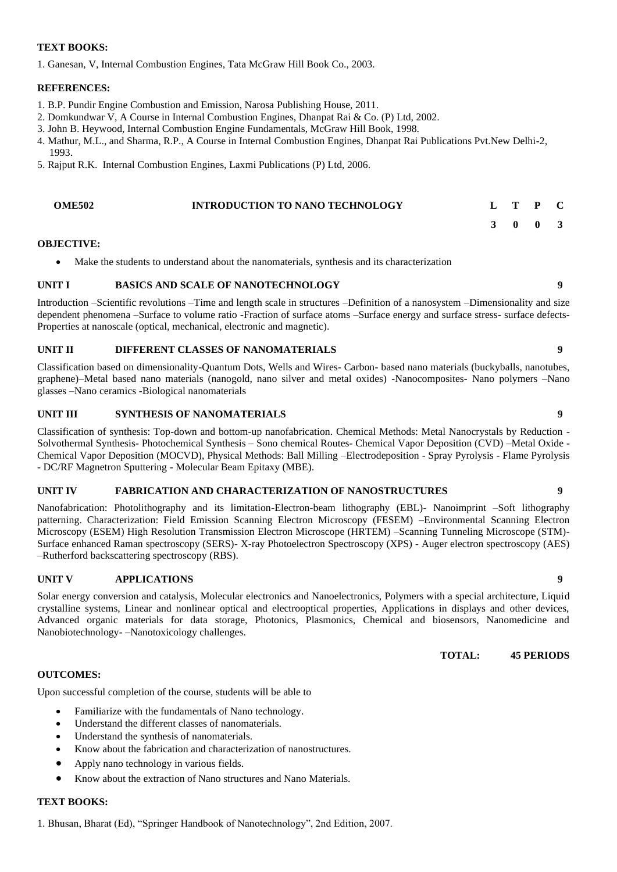1. Ganesan, V, Internal Combustion Engines, Tata McGraw Hill Book Co., 2003.

#### **REFERENCES:**

- 1. B.P. Pundir Engine Combustion and Emission, Narosa Publishing House, 2011.
- 2. Domkundwar V, A Course in Internal Combustion Engines, Dhanpat Rai & Co. (P) Ltd, 2002.
- 3. John B. Heywood, Internal Combustion Engine Fundamentals, McGraw Hill Book, 1998.
- 4. Mathur, M.L., and Sharma, R.P., A Course in Internal Combustion Engines, Dhanpat Rai Publications Pvt.New Delhi-2, 1993.
- 5. Rajput R.K. Internal Combustion Engines, Laxmi Publications (P) Ltd, 2006.

| <b>OME502</b> | <b>INTRODUCTION TO NANO TECHNOLOGY</b> |  |  |
|---------------|----------------------------------------|--|--|
|               |                                        |  |  |

#### **OBJECTIVE:**

Make the students to understand about the nanomaterials, synthesis and its characterization

#### **UNIT I BASICS AND SCALE OF NANOTECHNOLOGY 9**

Introduction –Scientific revolutions –Time and length scale in structures –Definition of a nanosystem –Dimensionality and size dependent phenomena –Surface to volume ratio -Fraction of surface atoms –Surface energy and surface stress- surface defects-Properties at nanoscale (optical, mechanical, electronic and magnetic).

#### **UNIT II DIFFERENT CLASSES OF NANOMATERIALS 9**

Classification based on dimensionality-Quantum Dots, Wells and Wires- Carbon- based nano materials (buckyballs, nanotubes, graphene)–Metal based nano materials (nanogold, nano silver and metal oxides) -Nanocomposites- Nano polymers –Nano glasses –Nano ceramics -Biological nanomaterials

#### **UNIT III SYNTHESIS OF NANOMATERIALS 9**

Classification of synthesis: Top-down and bottom-up nanofabrication. Chemical Methods: Metal Nanocrystals by Reduction - Solvothermal Synthesis- Photochemical Synthesis – Sono chemical Routes- Chemical Vapor Deposition (CVD) –Metal Oxide - Chemical Vapor Deposition (MOCVD), Physical Methods: Ball Milling –Electrodeposition - Spray Pyrolysis - Flame Pyrolysis - DC/RF Magnetron Sputtering - Molecular Beam Epitaxy (MBE).

#### **UNIT IV FABRICATION AND CHARACTERIZATION OF NANOSTRUCTURES 9**

Nanofabrication: Photolithography and its limitation-Electron-beam lithography (EBL)- Nanoimprint –Soft lithography patterning. Characterization: Field Emission Scanning Electron Microscopy (FESEM) –Environmental Scanning Electron Microscopy (ESEM) High Resolution Transmission Electron Microscope (HRTEM) –Scanning Tunneling Microscope (STM)- Surface enhanced Raman spectroscopy (SERS)- X-ray Photoelectron Spectroscopy (XPS) - Auger electron spectroscopy (AES) –Rutherford backscattering spectroscopy (RBS).

#### **UNIT V APPLICATIONS 9**

Solar energy conversion and catalysis, Molecular electronics and Nanoelectronics, Polymers with a special architecture, Liquid crystalline systems, Linear and nonlinear optical and electrooptical properties, Applications in displays and other devices, Advanced organic materials for data storage, Photonics, Plasmonics, Chemical and biosensors, Nanomedicine and Nanobiotechnology- –Nanotoxicology challenges.

**TOTAL: 45 PERIODS**

**3 0 0 3**

#### **OUTCOMES:**

Upon successful completion of the course, students will be able to

- Familiarize with the fundamentals of Nano technology.
- Understand the different classes of nanomaterials.
- Understand the synthesis of nanomaterials.
- Know about the fabrication and characterization of nanostructures.
- Apply nano technology in various fields.
- Know about the extraction of Nano structures and Nano Materials.

### **TEXT BOOKS:**

1. Bhusan, Bharat (Ed), "Springer Handbook of Nanotechnology", 2nd Edition, 2007.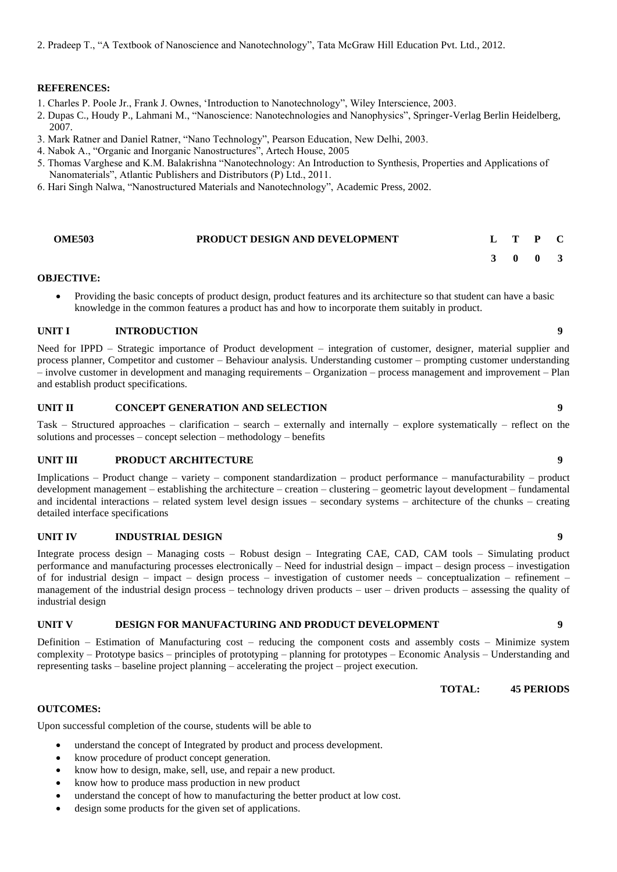2. Pradeep T., "A Textbook of Nanoscience and Nanotechnology", Tata McGraw Hill Education Pvt. Ltd., 2012.

#### **REFERENCES:**

- 1. Charles P. Poole Jr., Frank J. Ownes, 'Introduction to Nanotechnology", Wiley Interscience, 2003.
- 2. Dupas C., Houdy P., Lahmani M., "Nanoscience: Nanotechnologies and Nanophysics", Springer-Verlag Berlin Heidelberg, 2007.
- 3. Mark Ratner and Daniel Ratner, "Nano Technology", Pearson Education, New Delhi, 2003.
- 4. Nabok A., "Organic and Inorganic Nanostructures", Artech House, 2005
- 5. Thomas Varghese and K.M. Balakrishna "Nanotechnology: An Introduction to Synthesis, Properties and Applications of Nanomaterials", Atlantic Publishers and Distributors (P) Ltd., 2011.
- 6. Hari Singh Nalwa, "Nanostructured Materials and Nanotechnology", Academic Press, 2002.

| <b>OME503</b> | <b>PRODUCT DESIGN AND DEVELOPMENT</b> | L T P C |  |
|---------------|---------------------------------------|---------|--|
|               |                                       | 3 0 0 3 |  |

#### **OBJECTIVE:**

• Providing the basic concepts of product design, product features and its architecture so that student can have a basic knowledge in the common features a product has and how to incorporate them suitably in product.

#### **UNIT I INTRODUCTION 9**

Need for IPPD – Strategic importance of Product development – integration of customer, designer, material supplier and process planner, Competitor and customer – Behaviour analysis. Understanding customer – prompting customer understanding – involve customer in development and managing requirements – Organization – process management and improvement – Plan and establish product specifications.

#### **UNIT II CONCEPT GENERATION AND SELECTION 9**

Task – Structured approaches – clarification – search – externally and internally – explore systematically – reflect on the solutions and processes – concept selection – methodology – benefits

#### **UNIT III PRODUCT ARCHITECTURE 9**

Implications – Product change – variety – component standardization – product performance – manufacturability – product development management – establishing the architecture – creation – clustering – geometric layout development – fundamental and incidental interactions – related system level design issues – secondary systems – architecture of the chunks – creating detailed interface specifications

#### **UNIT IV INDUSTRIAL DESIGN 9**

Integrate process design – Managing costs – Robust design – Integrating CAE, CAD, CAM tools – Simulating product performance and manufacturing processes electronically – Need for industrial design – impact – design process – investigation of for industrial design – impact – design process – investigation of customer needs – conceptualization – refinement – management of the industrial design process – technology driven products – user – driven products – assessing the quality of industrial design

#### **UNIT V DESIGN FOR MANUFACTURING AND PRODUCT DEVELOPMENT 9**

Definition – Estimation of Manufacturing cost – reducing the component costs and assembly costs – Minimize system complexity – Prototype basics – principles of prototyping – planning for prototypes – Economic Analysis – Understanding and representing tasks – baseline project planning – accelerating the project – project execution.

**TOTAL: 45 PERIODS**

#### **OUTCOMES:**

Upon successful completion of the course, students will be able to

- understand the concept of Integrated by product and process development.
- know procedure of product concept generation.
- know how to design, make, sell, use, and repair a new product.
- know how to produce mass production in new product
- understand the concept of how to manufacturing the better product at low cost.
- design some products for the given set of applications.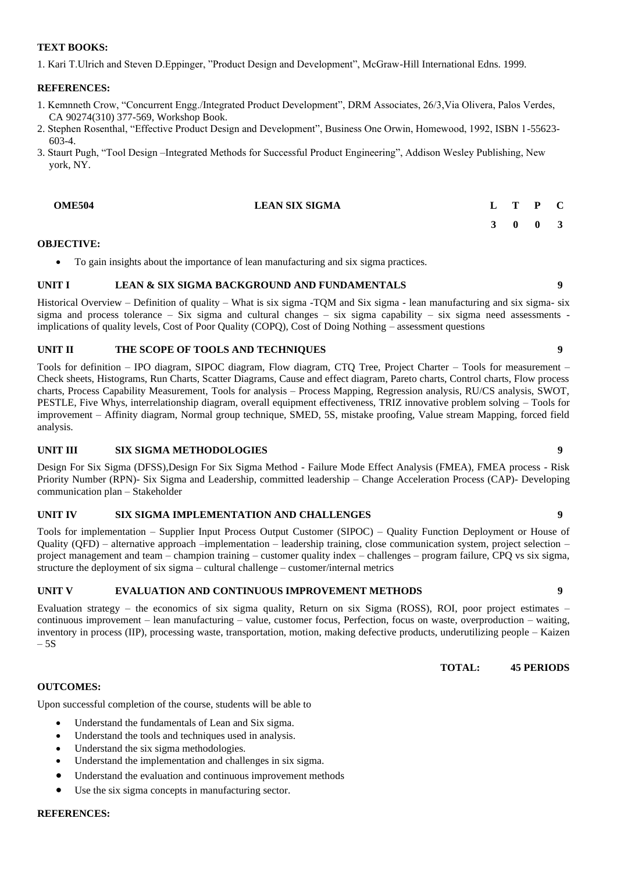1. Kari T.Ulrich and Steven D.Eppinger, "Product Design and Development", McGraw-Hill International Edns. 1999.

#### **REFERENCES:**

- 1. Kemnneth Crow, "Concurrent Engg./Integrated Product Development", DRM Associates, 26/3,Via Olivera, Palos Verdes, CA 90274(310) 377-569, Workshop Book.
- 2. Stephen Rosenthal, "Effective Product Design and Development", Business One Orwin, Homewood, 1992, ISBN 1-55623- 603-4.
- 3. Staurt Pugh, "Tool Design –Integrated Methods for Successful Product Engineering", Addison Wesley Publishing, New york, NY.

| <b>OME504</b> | <b>LEAN SIX SIGMA</b> |  | D | $\mathbf C$ |
|---------------|-----------------------|--|---|-------------|
|               |                       |  |   |             |

#### **OBJECTIVE:**

• To gain insights about the importance of lean manufacturing and six sigma practices.

#### **UNIT I LEAN & SIX SIGMA BACKGROUND AND FUNDAMENTALS 9**

Historical Overview – Definition of quality – What is six sigma -TQM and Six sigma - lean manufacturing and six sigma- six sigma and process tolerance – Six sigma and cultural changes – six sigma capability – six sigma need assessments implications of quality levels, Cost of Poor Quality (COPQ), Cost of Doing Nothing – assessment questions

#### **UNIT II THE SCOPE OF TOOLS AND TECHNIQUES 9**

Tools for definition – IPO diagram, SIPOC diagram, Flow diagram, CTQ Tree, Project Charter – Tools for measurement – Check sheets, Histograms, Run Charts, Scatter Diagrams, Cause and effect diagram, Pareto charts, Control charts, Flow process charts, Process Capability Measurement, Tools for analysis – Process Mapping, Regression analysis, RU/CS analysis, SWOT, PESTLE, Five Whys, interrelationship diagram, overall equipment effectiveness, TRIZ innovative problem solving – Tools for improvement – Affinity diagram, Normal group technique, SMED, 5S, mistake proofing, Value stream Mapping, forced field analysis.

#### **UNIT III SIX SIGMA METHODOLOGIES 9**

Design For Six Sigma (DFSS),Design For Six Sigma Method - Failure Mode Effect Analysis (FMEA), FMEA process - Risk Priority Number (RPN)- Six Sigma and Leadership, committed leadership – Change Acceleration Process (CAP)- Developing communication plan – Stakeholder

#### **UNIT IV SIX SIGMA IMPLEMENTATION AND CHALLENGES 9**

Tools for implementation – Supplier Input Process Output Customer (SIPOC) – Quality Function Deployment or House of Quality (QFD) – alternative approach –implementation – leadership training, close communication system, project selection – project management and team – champion training – customer quality index – challenges – program failure, CPQ vs six sigma, structure the deployment of six sigma – cultural challenge – customer/internal metrics

#### **UNIT V EVALUATION AND CONTINUOUS IMPROVEMENT METHODS 9**

Evaluation strategy – the economics of six sigma quality, Return on six Sigma (ROSS), ROI, poor project estimates – continuous improvement – lean manufacturing – value, customer focus, Perfection, focus on waste, overproduction – waiting, inventory in process (IIP), processing waste, transportation, motion, making defective products, underutilizing people – Kaizen  $-5S$ 

**TOTAL: 45 PERIODS**

#### **OUTCOMES:**

Upon successful completion of the course, students will be able to

- Understand the fundamentals of Lean and Six sigma.
- Understand the tools and techniques used in analysis.
- Understand the six sigma methodologies.
- Understand the implementation and challenges in six sigma.
- Understand the evaluation and continuous improvement methods
- Use the six sigma concepts in manufacturing sector.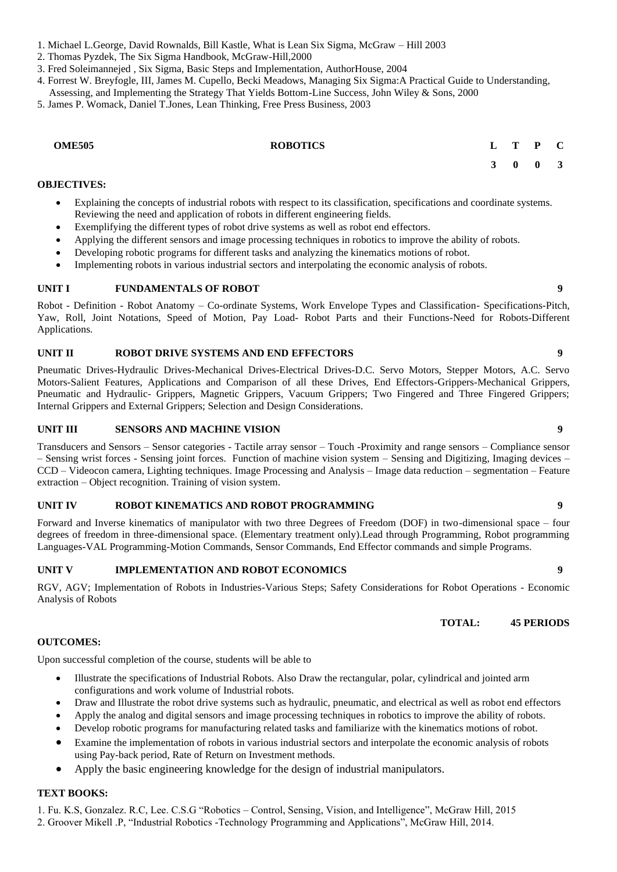- 1. Michael L.George, David Rownalds, Bill Kastle, What is Lean Six Sigma, McGraw Hill 2003
- 2. Thomas Pyzdek, The Six Sigma Handbook, McGraw-Hill,2000
- 3. Fred Soleimannejed , Six Sigma, Basic Steps and Implementation, AuthorHouse, 2004
- 4. Forrest W. Breyfogle, III, James M. Cupello, Becki Meadows, Managing Six Sigma:A Practical Guide to Understanding,

Assessing, and Implementing the Strategy That Yields Bottom-Line Success, John Wiley & Sons, 2000

5. James P. Womack, Daniel T.Jones, Lean Thinking, Free Press Business, 2003

| <b>OME505</b> | <b>ROBOTICS</b> |  | $L$ T P C |  |
|---------------|-----------------|--|-----------|--|
|               |                 |  | 3 0 0 3   |  |

#### **OBJECTIVES:**

- Explaining the concepts of industrial robots with respect to its classification, specifications and coordinate systems. Reviewing the need and application of robots in different engineering fields.
- Exemplifying the different types of robot drive systems as well as robot end effectors.
- Applying the different sensors and image processing techniques in robotics to improve the ability of robots.
- Developing robotic programs for different tasks and analyzing the kinematics motions of robot.
- Implementing robots in various industrial sectors and interpolating the economic analysis of robots.

#### **UNIT I FUNDAMENTALS OF ROBOT 9**

Robot - Definition - Robot Anatomy – Co-ordinate Systems, Work Envelope Types and Classification- Specifications-Pitch, Yaw, Roll, Joint Notations, Speed of Motion, Pay Load- Robot Parts and their Functions-Need for Robots-Different Applications.

#### **UNIT II ROBOT DRIVE SYSTEMS AND END EFFECTORS 9**

Pneumatic Drives-Hydraulic Drives-Mechanical Drives-Electrical Drives-D.C. Servo Motors, Stepper Motors, A.C. Servo Motors-Salient Features, Applications and Comparison of all these Drives, End Effectors-Grippers-Mechanical Grippers, Pneumatic and Hydraulic- Grippers, Magnetic Grippers, Vacuum Grippers; Two Fingered and Three Fingered Grippers; Internal Grippers and External Grippers; Selection and Design Considerations.

#### **UNIT III SENSORS AND MACHINE VISION 9**

Transducers and Sensors – Sensor categories - Tactile array sensor – Touch -Proximity and range sensors – Compliance sensor – Sensing wrist forces - Sensing joint forces. Function of machine vision system – Sensing and Digitizing, Imaging devices – CCD – Videocon camera, Lighting techniques. Image Processing and Analysis – Image data reduction – segmentation – Feature extraction – Object recognition. Training of vision system.

#### **UNIT IV ROBOT KINEMATICS AND ROBOT PROGRAMMING 9**

Forward and Inverse kinematics of manipulator with two three Degrees of Freedom (DOF) in two-dimensional space – four degrees of freedom in three-dimensional space. (Elementary treatment only).Lead through Programming, Robot programming Languages-VAL Programming-Motion Commands, Sensor Commands, End Effector commands and simple Programs.

#### **UNIT V IMPLEMENTATION AND ROBOT ECONOMICS 9**

RGV, AGV; Implementation of Robots in Industries-Various Steps; Safety Considerations for Robot Operations - Economic Analysis of Robots

**TOTAL: 45 PERIODS**

#### **OUTCOMES:**

Upon successful completion of the course, students will be able to

- Illustrate the specifications of Industrial Robots. Also Draw the rectangular, polar, cylindrical and jointed arm configurations and work volume of Industrial robots.
- Draw and Illustrate the robot drive systems such as hydraulic, pneumatic, and electrical as well as robot end effectors
- Apply the analog and digital sensors and image processing techniques in robotics to improve the ability of robots.
- Develop robotic programs for manufacturing related tasks and familiarize with the kinematics motions of robot.
- Examine the implementation of robots in various industrial sectors and interpolate the economic analysis of robots using Pay-back period, Rate of Return on Investment methods.
- Apply the basic engineering knowledge for the design of industrial manipulators.

#### **TEXT BOOKS:**

1. Fu. K.S, Gonzalez. R.C, Lee. C.S.G "Robotics – Control, Sensing, Vision, and Intelligence", McGraw Hill, 2015

2. Groover Mikell .P, "Industrial Robotics -Technology Programming and Applications", McGraw Hill, 2014.